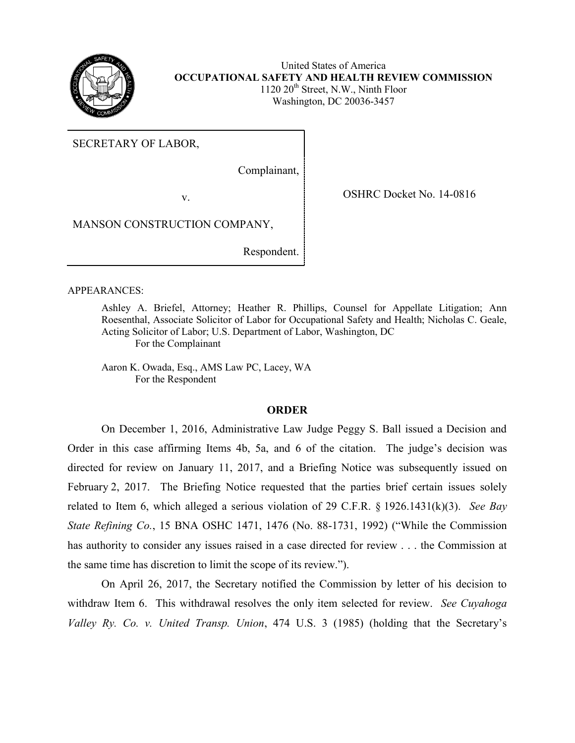

United States of America **OCCUPATIONAL SAFETY AND HEALTH REVIEW COMMISSION**   $1120 \ 20$ <sup>th</sup> Street, N.W., Ninth Floor Washington, DC 20036-3457

SECRETARY OF LABOR,

Complainant,

v. COSHRC Docket No. 14-0816

MANSON CONSTRUCTION COMPANY,

Respondent.

#### APPEARANCES:

Ashley A. Briefel, Attorney; Heather R. Phillips, Counsel for Appellate Litigation; Ann Roesenthal, Associate Solicitor of Labor for Occupational Safety and Health; Nicholas C. Geale, Acting Solicitor of Labor; U.S. Department of Labor, Washington, DC For the Complainant

Aaron K. Owada, Esq., AMS Law PC, Lacey, WA For the Respondent

### **ORDER**

On December 1, 2016, Administrative Law Judge Peggy S. Ball issued a Decision and Order in this case affirming Items 4b, 5a, and 6 of the citation. The judge's decision was directed for review on January 11, 2017, and a Briefing Notice was subsequently issued on February 2, 2017. The Briefing Notice requested that the parties brief certain issues solely related to Item 6, which alleged a serious violation of 29 C.F.R. § 1926.1431(k)(3). *See Bay State Refining Co.*, 15 BNA OSHC 1471, 1476 (No. 88-1731, 1992) ("While the Commission has authority to consider any issues raised in a case directed for review . . . the Commission at the same time has discretion to limit the scope of its review.").

On April 26, 2017, the Secretary notified the Commission by letter of his decision to withdraw Item 6. This withdrawal resolves the only item selected for review. *See Cuyahoga Valley Ry. Co. v. United Transp. Union*, 474 U.S. 3 (1985) (holding that the Secretary's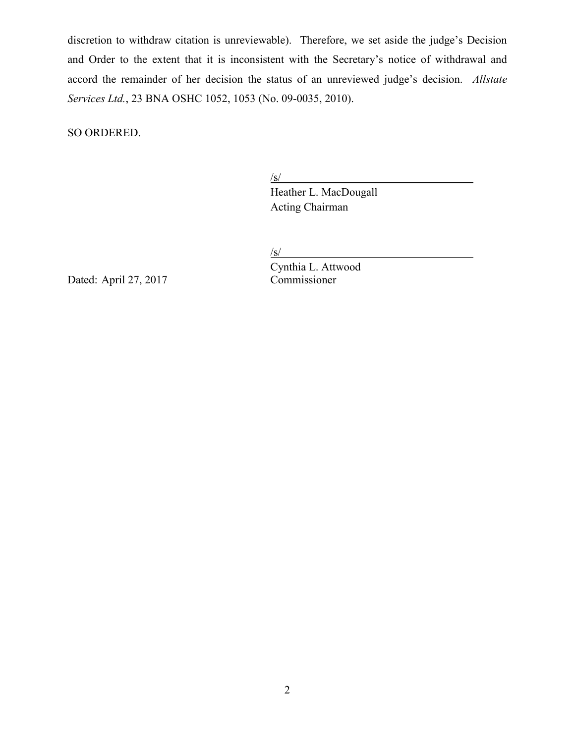discretion to withdraw citation is unreviewable). Therefore, we set aside the judge's Decision and Order to the extent that it is inconsistent with the Secretary's notice of withdrawal and accord the remainder of her decision the status of an unreviewed judge's decision. *Allstate Services Ltd.*, 23 BNA OSHC 1052, 1053 (No. 09-0035, 2010).

SO ORDERED.

 $\sqrt{s/2}$ 

Heather L. MacDougall Acting Chairman

 $/s/$ 

Dated: April 27, 2017

Cynthia L. Attwood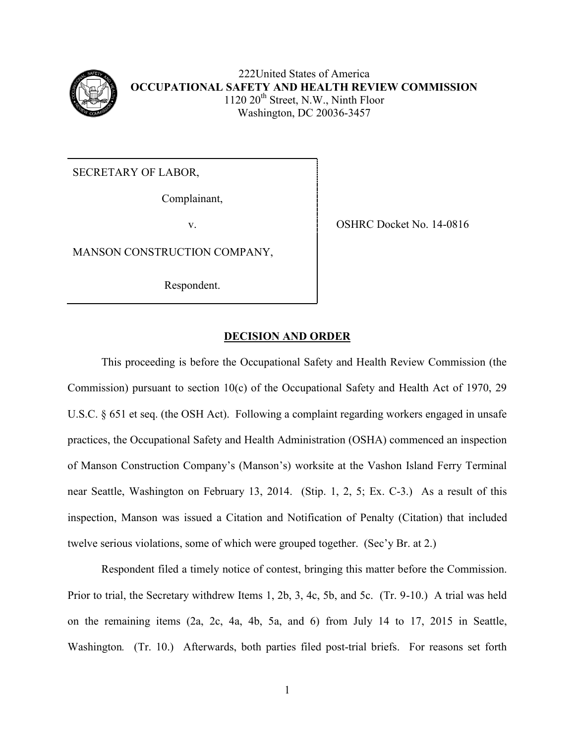

222United States of America **OCCUPATIONAL SAFETY AND HEALTH REVIEW COMMISSION**  $1120 20<sup>th</sup> Street, N.W., Ninth Floor$ Washington, DC 20036-3457

SECRETARY OF LABOR,

Complainant,

MANSON CONSTRUCTION COMPANY,

Respondent.

v. SHRC Docket No. 14-0816

# **DECISION AND ORDER**

This proceeding is before the Occupational Safety and Health Review Commission (the Commission) pursuant to section 10(c) of the Occupational Safety and Health Act of 1970, 29 U.S.C. § 651 et seq. (the OSH Act). Following a complaint regarding workers engaged in unsafe practices, the Occupational Safety and Health Administration (OSHA) commenced an inspection of Manson Construction Company's (Manson's) worksite at the Vashon Island Ferry Terminal near Seattle, Washington on February 13, 2014. (Stip. 1, 2, 5; Ex. C-3.) As a result of this inspection, Manson was issued a Citation and Notification of Penalty (Citation) that included twelve serious violations, some of which were grouped together. (Sec'y Br. at 2.)

Respondent filed a timely notice of contest, bringing this matter before the Commission. Prior to trial, the Secretary withdrew Items 1, 2b, 3, 4c, 5b, and 5c. (Tr. 9-10.) A trial was held on the remaining items (2a, 2c, 4a, 4b, 5a, and 6) from July 14 to 17, 2015 in Seattle, Washington. (Tr. 10.) Afterwards, both parties filed post-trial briefs. For reasons set forth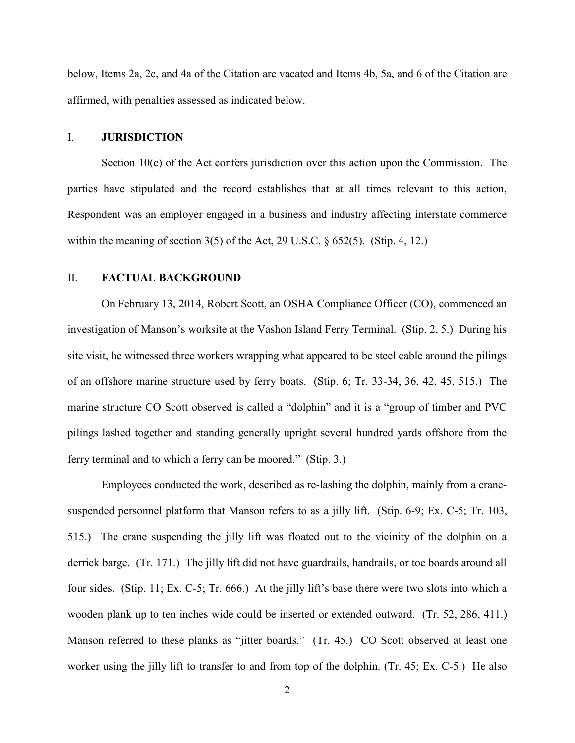below, Items 2a, 2c, and 4a of the Citation are vacated and Items 4b, 5a, and 6 of the Citation are affirmed, with penalties assessed as indicated below.

#### I. **JURISDICTION**

Section  $10(c)$  of the Act confers jurisdiction over this action upon the Commission. The parties have stipulated and the record establishes that at all times relevant to this action, Respondent was an employer engaged in a business and industry affecting interstate commerce within the meaning of section 3(5) of the Act, 29 U.S.C. § 652(5). (Stip. 4, 12.)

#### II. **FACTUAL BACKGROUND**

On February 13, 2014, Robert Scott, an OSHA Compliance Officer (CO), commenced an investigation of Manson's worksite at the Vashon Island Ferry Terminal. (Stip. 2, 5.) During his site visit, he witnessed three workers wrapping what appeared to be steel cable around the pilings of an offshore marine structure used by ferry boats. (Stip. 6; Tr. 33-34, 36, 42, 45, 515.) The marine structure CO Scott observed is called a "dolphin" and it is a "group of timber and PVC pilings lashed together and standing generally upright several hundred yards offshore from the ferry terminal and to which a ferry can be moored." (Stip. 3.)

Employees conducted the work, described as re-lashing the dolphin, mainly from a cranesuspended personnel platform that Manson refers to as a jilly lift. (Stip. 6-9; Ex. C-5; Tr. 103, 515.) The crane suspending the jilly lift was floated out to the vicinity of the dolphin on a derrick barge. (Tr. 171.) The jilly lift did not have guardrails, handrails, or toe boards around all four sides. (Stip. 11; Ex. C-5; Tr. 666.) At the jilly lift's base there were two slots into which a wooden plank up to ten inches wide could be inserted or extended outward. (Tr. 52, 286, 411.) Manson referred to these planks as "jitter boards." (Tr. 45.) CO Scott observed at least one worker using the jilly lift to transfer to and from top of the dolphin. (Tr. 45; Ex. C-5.) He also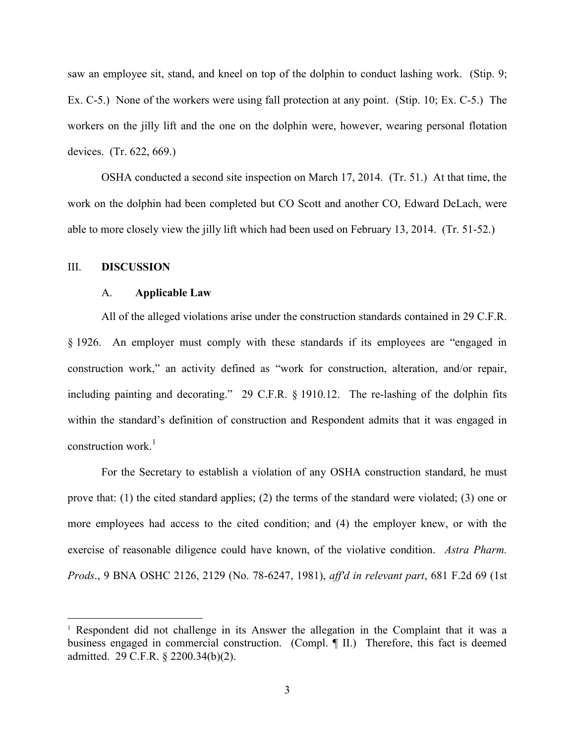saw an employee sit, stand, and kneel on top of the dolphin to conduct lashing work. (Stip. 9; Ex. C-5.) None of the workers were using fall protection at any point. (Stip. 10; Ex. C-5.) The workers on the jilly lift and the one on the dolphin were, however, wearing personal flotation devices. (Tr. 622, 669.)

OSHA conducted a second site inspection on March 17, 2014. (Tr. 51.) At that time, the work on the dolphin had been completed but CO Scott and another CO, Edward DeLach, were able to more closely view the jilly lift which had been used on February 13, 2014. (Tr. 51-52.)

#### III. **DISCUSSION**

 $\overline{a}$ 

#### A. **Applicable Law**

All of the alleged violations arise under the construction standards contained in 29 C.F.R. § 1926. An employer must comply with these standards if its employees are "engaged in construction work," an activity defined as "work for construction, alteration, and/or repair, including painting and decorating." 29 C.F.R. § 1910.12. The re-lashing of the dolphin fits within the standard's definition of construction and Respondent admits that it was engaged in construction work. $<sup>1</sup>$ </sup>

For the Secretary to establish a violation of any OSHA construction standard, he must prove that: (1) the cited standard applies; (2) the terms of the standard were violated; (3) one or more employees had access to the cited condition; and (4) the employer knew, or with the exercise of reasonable diligence could have known, of the violative condition. *Astra Pharm. Prods*., 9 BNA OSHC 2126, 2129 (No. 78-6247, 1981), *aff'd in relevant part*, 681 F.2d 69 (1st

<sup>&</sup>lt;sup>1</sup> Respondent did not challenge in its Answer the allegation in the Complaint that it was a business engaged in commercial construction. (Compl. ¶ II.) Therefore, this fact is deemed admitted. 29 C.F.R. § 2200.34(b)(2).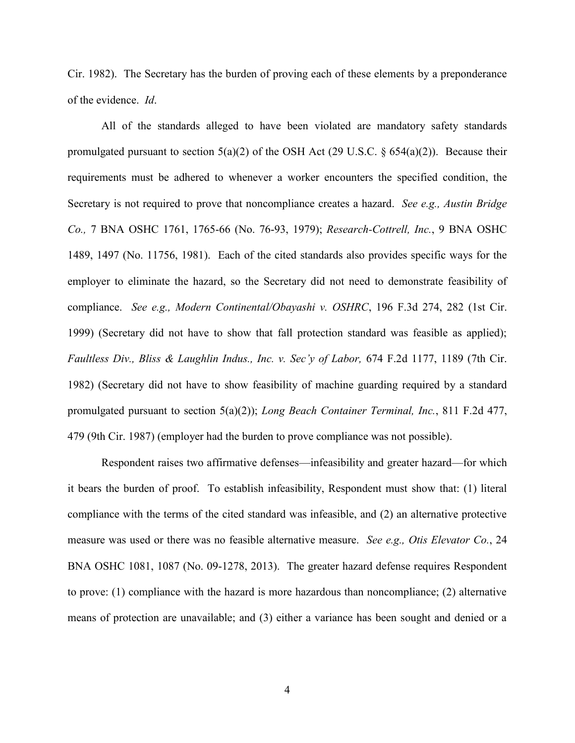Cir. 1982). The Secretary has the burden of proving each of these elements by a preponderance of the evidence. *Id*.

All of the standards alleged to have been violated are mandatory safety standards promulgated pursuant to section  $5(a)(2)$  of the OSH Act (29 U.S.C. § 654(a)(2)). Because their requirements must be adhered to whenever a worker encounters the specified condition, the Secretary is not required to prove that noncompliance creates a hazard. *See e.g., Austin Bridge Co.,* 7 BNA OSHC 1761, 1765-66 (No. 76-93, 1979); *Research-Cottrell, Inc.*, 9 BNA OSHC 1489, 1497 (No. 11756, 1981). Each of the cited standards also provides specific ways for the employer to eliminate the hazard, so the Secretary did not need to demonstrate feasibility of compliance. *See e.g., Modern Continental/Obayashi v. OSHRC*, 196 F.3d 274, 282 (1st Cir. 1999) (Secretary did not have to show that fall protection standard was feasible as applied); *Faultless Div., Bliss & Laughlin Indus., Inc. v. Sec'y of Labor,* 674 F.2d 1177, 1189 (7th Cir. 1982) (Secretary did not have to show feasibility of machine guarding required by a standard promulgated pursuant to section 5(a)(2)); *Long Beach Container Terminal, Inc.*, 811 F.2d 477, 479 (9th Cir. 1987) (employer had the burden to prove compliance was not possible).

Respondent raises two affirmative defenses—infeasibility and greater hazard—for which it bears the burden of proof. To establish infeasibility, Respondent must show that: (1) literal compliance with the terms of the cited standard was infeasible, and (2) an alternative protective measure was used or there was no feasible alternative measure. *See e.g., Otis Elevator Co.*, 24 BNA OSHC 1081, 1087 (No. 09-1278, 2013). The greater hazard defense requires Respondent to prove: (1) compliance with the hazard is more hazardous than noncompliance; (2) alternative means of protection are unavailable; and (3) either a variance has been sought and denied or a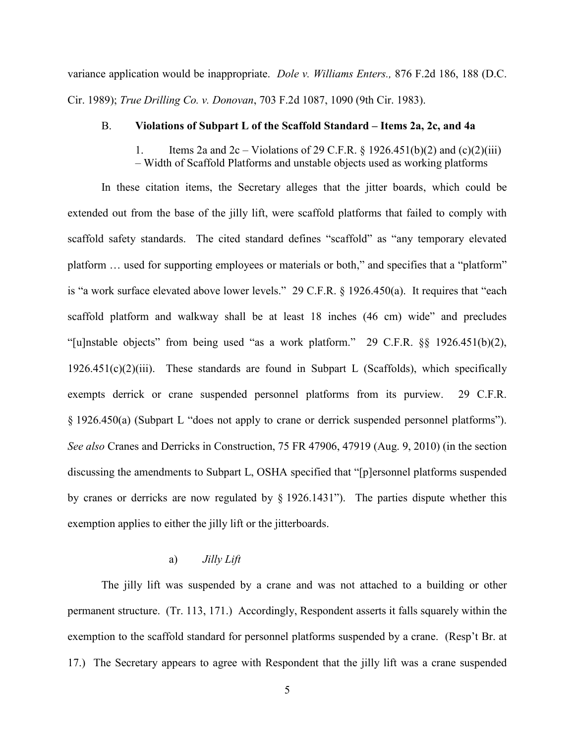variance application would be inappropriate. *Dole v. Williams Enters.,* 876 F.2d 186, 188 (D.C. Cir. 1989); *True Drilling Co. v. Donovan*, 703 F.2d 1087, 1090 (9th Cir. 1983).

## B. **Violations of Subpart L of the Scaffold Standard – Items 2a, 2c, and 4a**

1. Items 2a and  $2c - \text{Violations of } 29 \text{ C.F.R. } § 1926.451(b)(2)$  and  $(c)(2)(iii)$ – Width of Scaffold Platforms and unstable objects used as working platforms

 In these citation items, the Secretary alleges that the jitter boards, which could be extended out from the base of the jilly lift, were scaffold platforms that failed to comply with scaffold safety standards. The cited standard defines "scaffold" as "any temporary elevated platform … used for supporting employees or materials or both," and specifies that a "platform" is "a work surface elevated above lower levels." 29 C.F.R. § 1926.450(a). It requires that "each scaffold platform and walkway shall be at least 18 inches (46 cm) wide" and precludes "[u]nstable objects" from being used "as a work platform." 29 C.F.R. §§ 1926.451(b)(2),  $1926.451(c)(2)(iii)$ . These standards are found in Subpart L (Scaffolds), which specifically exempts derrick or crane suspended personnel platforms from its purview. 29 C.F.R. § 1926.450(a) (Subpart L "does not apply to crane or derrick suspended personnel platforms"). *See also* Cranes and Derricks in Construction, 75 FR 47906, 47919 (Aug. 9, 2010) (in the section discussing the amendments to Subpart L, OSHA specified that "[p]ersonnel platforms suspended by cranes or derricks are now regulated by § 1926.1431"). The parties dispute whether this exemption applies to either the jilly lift or the jitterboards.

# a) *Jilly Lift*

 The jilly lift was suspended by a crane and was not attached to a building or other permanent structure. (Tr. 113, 171.) Accordingly, Respondent asserts it falls squarely within the exemption to the scaffold standard for personnel platforms suspended by a crane. (Resp't Br. at 17.) The Secretary appears to agree with Respondent that the jilly lift was a crane suspended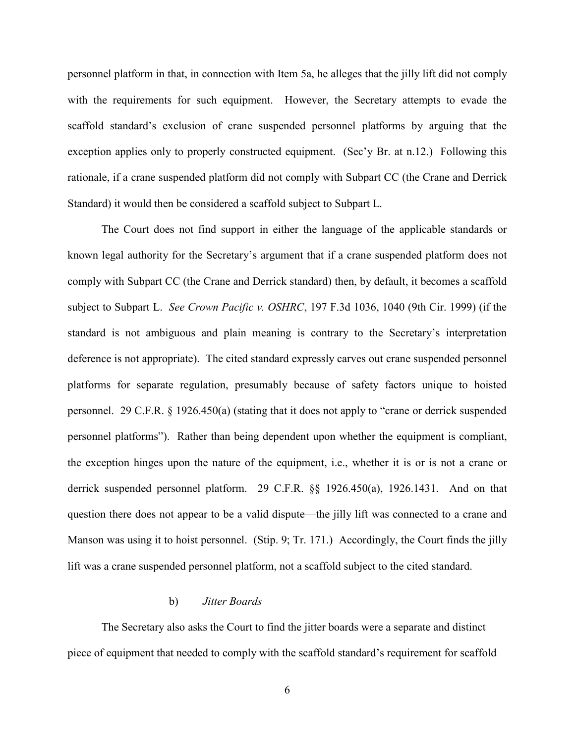personnel platform in that, in connection with Item 5a, he alleges that the jilly lift did not comply with the requirements for such equipment. However, the Secretary attempts to evade the scaffold standard's exclusion of crane suspended personnel platforms by arguing that the exception applies only to properly constructed equipment. (Sec'y Br. at n.12.) Following this rationale, if a crane suspended platform did not comply with Subpart CC (the Crane and Derrick Standard) it would then be considered a scaffold subject to Subpart L.

The Court does not find support in either the language of the applicable standards or known legal authority for the Secretary's argument that if a crane suspended platform does not comply with Subpart CC (the Crane and Derrick standard) then, by default, it becomes a scaffold subject to Subpart L. *See Crown Pacific v. OSHRC*, 197 F.3d 1036, 1040 (9th Cir. 1999) (if the standard is not ambiguous and plain meaning is contrary to the Secretary's interpretation deference is not appropriate). The cited standard expressly carves out crane suspended personnel platforms for separate regulation, presumably because of safety factors unique to hoisted personnel. 29 C.F.R. § 1926.450(a) (stating that it does not apply to "crane or derrick suspended personnel platforms"). Rather than being dependent upon whether the equipment is compliant, the exception hinges upon the nature of the equipment, i.e., whether it is or is not a crane or derrick suspended personnel platform. 29 C.F.R. §§ 1926.450(a), 1926.1431. And on that question there does not appear to be a valid dispute—the jilly lift was connected to a crane and Manson was using it to hoist personnel. (Stip. 9; Tr. 171.) Accordingly, the Court finds the jilly lift was a crane suspended personnel platform, not a scaffold subject to the cited standard.

# b) *Jitter Boards*

 The Secretary also asks the Court to find the jitter boards were a separate and distinct piece of equipment that needed to comply with the scaffold standard's requirement for scaffold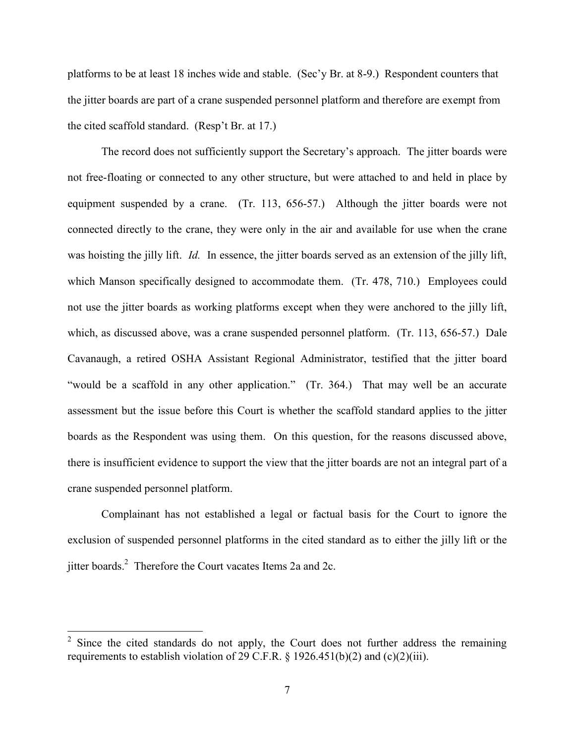platforms to be at least 18 inches wide and stable. (Sec'y Br. at 8-9.) Respondent counters that the jitter boards are part of a crane suspended personnel platform and therefore are exempt from the cited scaffold standard. (Resp't Br. at 17.)

The record does not sufficiently support the Secretary's approach. The jitter boards were not free-floating or connected to any other structure, but were attached to and held in place by equipment suspended by a crane. (Tr. 113, 656-57.) Although the jitter boards were not connected directly to the crane, they were only in the air and available for use when the crane was hoisting the jilly lift. *Id.* In essence, the jitter boards served as an extension of the jilly lift, which Manson specifically designed to accommodate them. (Tr. 478, 710.) Employees could not use the jitter boards as working platforms except when they were anchored to the jilly lift, which, as discussed above, was a crane suspended personnel platform. (Tr. 113, 656-57.) Dale Cavanaugh, a retired OSHA Assistant Regional Administrator, testified that the jitter board "would be a scaffold in any other application." (Tr. 364.) That may well be an accurate assessment but the issue before this Court is whether the scaffold standard applies to the jitter boards as the Respondent was using them. On this question, for the reasons discussed above, there is insufficient evidence to support the view that the jitter boards are not an integral part of a crane suspended personnel platform.

Complainant has not established a legal or factual basis for the Court to ignore the exclusion of suspended personnel platforms in the cited standard as to either the jilly lift or the jitter boards.<sup>2</sup> Therefore the Court vacates Items 2a and 2c.

 $2^2$  Since the cited standards do not apply, the Court does not further address the remaining requirements to establish violation of 29 C.F.R.  $\S$  1926.451(b)(2) and (c)(2)(iii).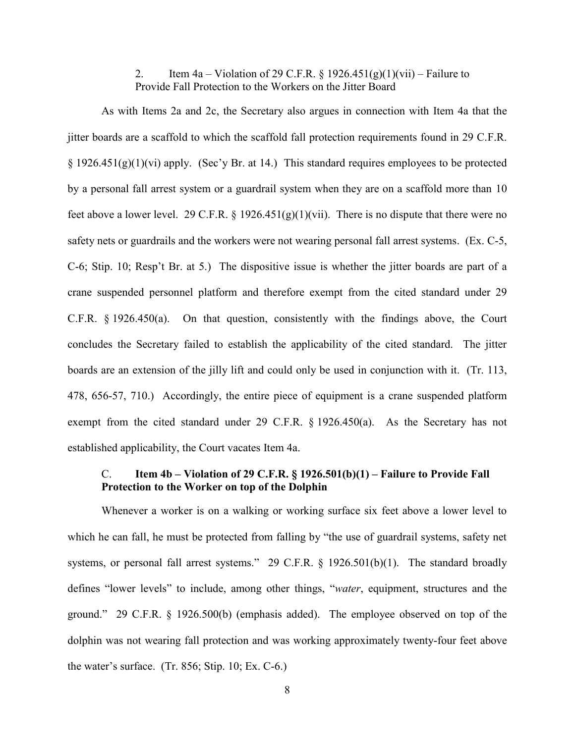2. Item  $4a -$  Violation of 29 C.F.R. § 1926.451(g)(1)(vii) – Failure to Provide Fall Protection to the Workers on the Jitter Board

As with Items 2a and 2c, the Secretary also argues in connection with Item 4a that the jitter boards are a scaffold to which the scaffold fall protection requirements found in 29 C.F.R.  $\S 1926.451(g)(1)(vi)$  apply. (Sec'y Br. at 14.) This standard requires employees to be protected by a personal fall arrest system or a guardrail system when they are on a scaffold more than 10 feet above a lower level. 29 C.F.R. § 1926.451(g)(1)(vii). There is no dispute that there were no safety nets or guardrails and the workers were not wearing personal fall arrest systems. (Ex. C-5, C-6; Stip. 10; Resp't Br. at 5.) The dispositive issue is whether the jitter boards are part of a crane suspended personnel platform and therefore exempt from the cited standard under 29 C.F.R. § 1926.450(a). On that question, consistently with the findings above, the Court concludes the Secretary failed to establish the applicability of the cited standard. The jitter boards are an extension of the jilly lift and could only be used in conjunction with it. (Tr. 113, 478, 656-57, 710.) Accordingly, the entire piece of equipment is a crane suspended platform exempt from the cited standard under 29 C.F.R. § 1926.450(a). As the Secretary has not established applicability, the Court vacates Item 4a.

# C. **Item 4b – Violation of 29 C.F.R. § 1926.501(b)(1) – Failure to Provide Fall Protection to the Worker on top of the Dolphin**

Whenever a worker is on a walking or working surface six feet above a lower level to which he can fall, he must be protected from falling by "the use of guardrail systems, safety net systems, or personal fall arrest systems." 29 C.F.R. § 1926.501(b)(1). The standard broadly defines "lower levels" to include, among other things, "*water*, equipment, structures and the ground." 29 C.F.R. § 1926.500(b) (emphasis added). The employee observed on top of the dolphin was not wearing fall protection and was working approximately twenty-four feet above the water's surface.  $(Tr. 856; Stip. 10; Ex. C-6.)$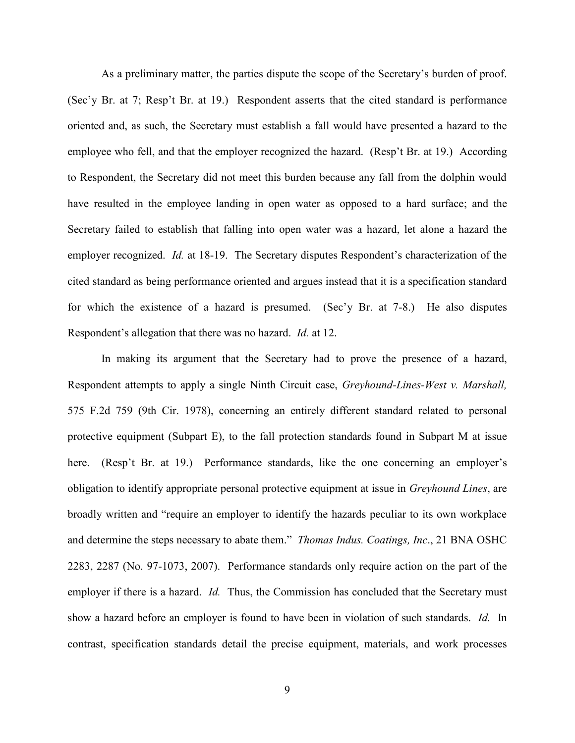As a preliminary matter, the parties dispute the scope of the Secretary's burden of proof. (Sec'y Br. at 7; Resp't Br. at 19.) Respondent asserts that the cited standard is performance oriented and, as such, the Secretary must establish a fall would have presented a hazard to the employee who fell, and that the employer recognized the hazard. (Resp't Br. at 19.) According to Respondent, the Secretary did not meet this burden because any fall from the dolphin would have resulted in the employee landing in open water as opposed to a hard surface; and the Secretary failed to establish that falling into open water was a hazard, let alone a hazard the employer recognized. *Id.* at 18-19. The Secretary disputes Respondent's characterization of the cited standard as being performance oriented and argues instead that it is a specification standard for which the existence of a hazard is presumed. (Sec'y Br. at 7-8.) He also disputes Respondent's allegation that there was no hazard. *Id.* at 12.

In making its argument that the Secretary had to prove the presence of a hazard, Respondent attempts to apply a single Ninth Circuit case, *Greyhound-Lines-West v. Marshall,* 575 F.2d 759 (9th Cir. 1978), concerning an entirely different standard related to personal protective equipment (Subpart E), to the fall protection standards found in Subpart M at issue here. (Resp't Br. at 19.) Performance standards, like the one concerning an employer's obligation to identify appropriate personal protective equipment at issue in *Greyhound Lines*, are broadly written and "require an employer to identify the hazards peculiar to its own workplace and determine the steps necessary to abate them." *Thomas Indus. Coatings, Inc*., 21 BNA OSHC 2283, 2287 (No. 97-1073, 2007). Performance standards only require action on the part of the employer if there is a hazard. *Id.* Thus, the Commission has concluded that the Secretary must show a hazard before an employer is found to have been in violation of such standards. *Id.* In contrast, specification standards detail the precise equipment, materials, and work processes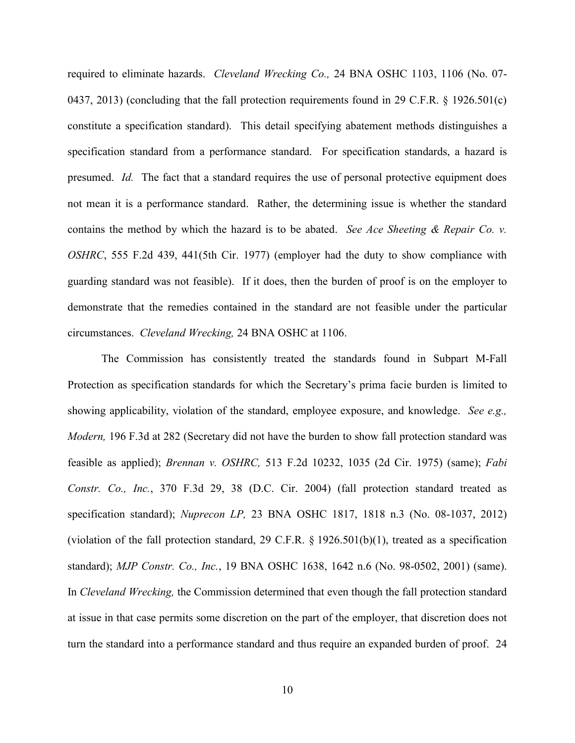required to eliminate hazards. *Cleveland Wrecking Co.,* 24 BNA OSHC 1103, 1106 (No. 07- 0437, 2013) (concluding that the fall protection requirements found in 29 C.F.R. § 1926.501(c) constitute a specification standard). This detail specifying abatement methods distinguishes a specification standard from a performance standard. For specification standards, a hazard is presumed. *Id.* The fact that a standard requires the use of personal protective equipment does not mean it is a performance standard. Rather, the determining issue is whether the standard contains the method by which the hazard is to be abated. *See Ace Sheeting & Repair Co. v. OSHRC*, 555 F.2d 439, 441(5th Cir. 1977) (employer had the duty to show compliance with guarding standard was not feasible). If it does, then the burden of proof is on the employer to demonstrate that the remedies contained in the standard are not feasible under the particular circumstances. *Cleveland Wrecking,* 24 BNA OSHC at 1106.

The Commission has consistently treated the standards found in Subpart M-Fall Protection as specification standards for which the Secretary's prima facie burden is limited to showing applicability, violation of the standard, employee exposure, and knowledge. *See e.g., Modern,* 196 F.3d at 282 (Secretary did not have the burden to show fall protection standard was feasible as applied); *Brennan v. OSHRC,* 513 F.2d 10232, 1035 (2d Cir. 1975) (same); *Fabi Constr. Co., Inc.*, 370 F.3d 29, 38 (D.C. Cir. 2004) (fall protection standard treated as specification standard); *Nuprecon LP,* 23 BNA OSHC 1817, 1818 n.3 (No. 08-1037, 2012) (violation of the fall protection standard, 29 C.F.R. § 1926.501(b)(1), treated as a specification standard); *MJP Constr. Co., Inc.*, 19 BNA OSHC 1638, 1642 n.6 (No. 98-0502, 2001) (same). In *Cleveland Wrecking,* the Commission determined that even though the fall protection standard at issue in that case permits some discretion on the part of the employer, that discretion does not turn the standard into a performance standard and thus require an expanded burden of proof. 24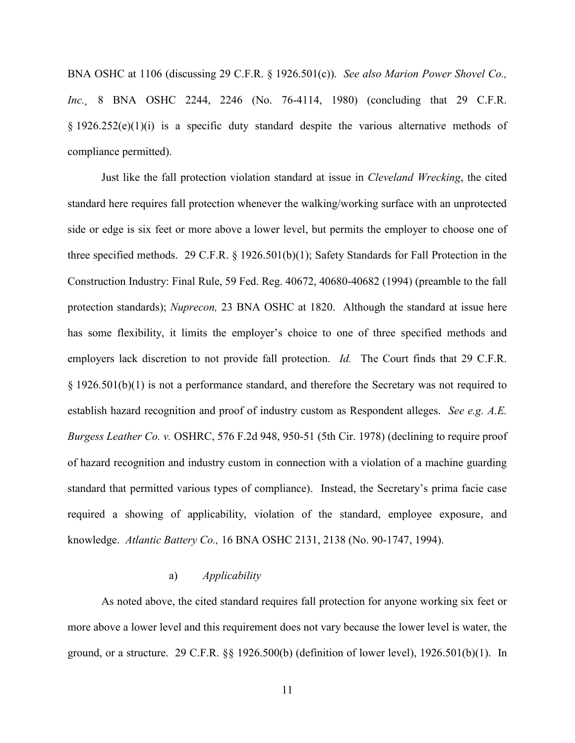BNA OSHC at 1106 (discussing 29 C.F.R. § 1926.501(c)). *See also Marion Power Shovel Co., Inc.¸* 8 BNA OSHC 2244, 2246 (No. 76-4114, 1980) (concluding that 29 C.F.R.  $§$  1926.252(e)(1)(i) is a specific duty standard despite the various alternative methods of compliance permitted).

Just like the fall protection violation standard at issue in *Cleveland Wrecking*, the cited standard here requires fall protection whenever the walking/working surface with an unprotected side or edge is six feet or more above a lower level, but permits the employer to choose one of three specified methods. 29 C.F.R. § 1926.501(b)(1); Safety Standards for Fall Protection in the Construction Industry: Final Rule, 59 Fed. Reg. 40672, 40680-40682 (1994) (preamble to the fall protection standards); *Nuprecon,* 23 BNA OSHC at 1820. Although the standard at issue here has some flexibility, it limits the employer's choice to one of three specified methods and employers lack discretion to not provide fall protection. *Id.* The Court finds that 29 C.F.R. § 1926.501(b)(1) is not a performance standard, and therefore the Secretary was not required to establish hazard recognition and proof of industry custom as Respondent alleges. *See e.g. A.E. Burgess Leather Co. v.* OSHRC, 576 F.2d 948, 950-51 (5th Cir. 1978) (declining to require proof of hazard recognition and industry custom in connection with a violation of a machine guarding standard that permitted various types of compliance). Instead, the Secretary's prima facie case required a showing of applicability, violation of the standard, employee exposure, and knowledge. *Atlantic Battery Co.,* 16 BNA OSHC 2131, 2138 (No. 90-1747, 1994).

# a) *Applicability*

As noted above, the cited standard requires fall protection for anyone working six feet or more above a lower level and this requirement does not vary because the lower level is water, the ground, or a structure. 29 C.F.R. §§ 1926.500(b) (definition of lower level), 1926.501(b)(1). In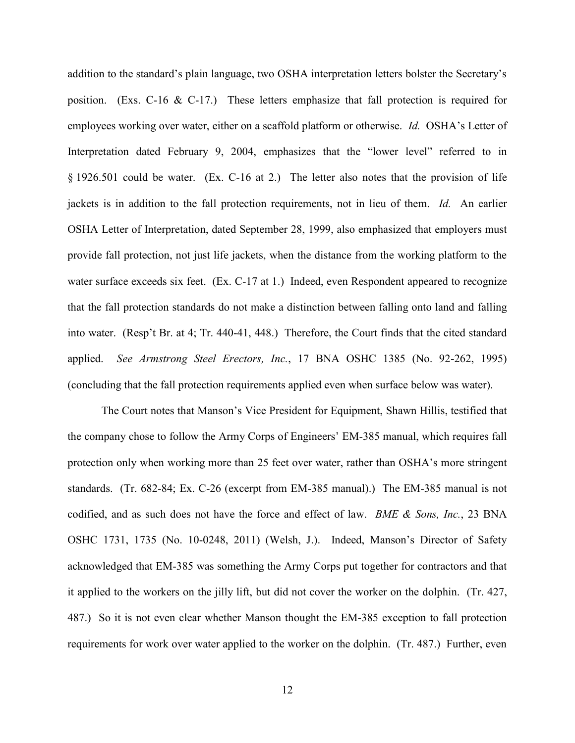addition to the standard's plain language, two OSHA interpretation letters bolster the Secretary's position. (Exs. C-16 & C-17.) These letters emphasize that fall protection is required for employees working over water, either on a scaffold platform or otherwise. *Id.* OSHA's Letter of Interpretation dated February 9, 2004, emphasizes that the "lower level" referred to in § 1926.501 could be water. (Ex. C-16 at 2.) The letter also notes that the provision of life jackets is in addition to the fall protection requirements, not in lieu of them. *Id.* An earlier OSHA Letter of Interpretation, dated September 28, 1999, also emphasized that employers must provide fall protection, not just life jackets, when the distance from the working platform to the water surface exceeds six feet. (Ex. C-17 at 1.) Indeed, even Respondent appeared to recognize that the fall protection standards do not make a distinction between falling onto land and falling into water. (Resp't Br. at 4; Tr. 440-41, 448.) Therefore, the Court finds that the cited standard applied. *See Armstrong Steel Erectors, Inc.*, 17 BNA OSHC 1385 (No. 92-262, 1995) (concluding that the fall protection requirements applied even when surface below was water).

The Court notes that Manson's Vice President for Equipment, Shawn Hillis, testified that the company chose to follow the Army Corps of Engineers' EM-385 manual, which requires fall protection only when working more than 25 feet over water, rather than OSHA's more stringent standards. (Tr. 682-84; Ex. C-26 (excerpt from EM-385 manual).) The EM-385 manual is not codified, and as such does not have the force and effect of law. *BME & Sons, Inc.*, 23 BNA OSHC 1731, 1735 (No. 10-0248, 2011) (Welsh, J.). Indeed, Manson's Director of Safety acknowledged that EM-385 was something the Army Corps put together for contractors and that it applied to the workers on the jilly lift, but did not cover the worker on the dolphin. (Tr. 427, 487.) So it is not even clear whether Manson thought the EM-385 exception to fall protection requirements for work over water applied to the worker on the dolphin. (Tr. 487.) Further, even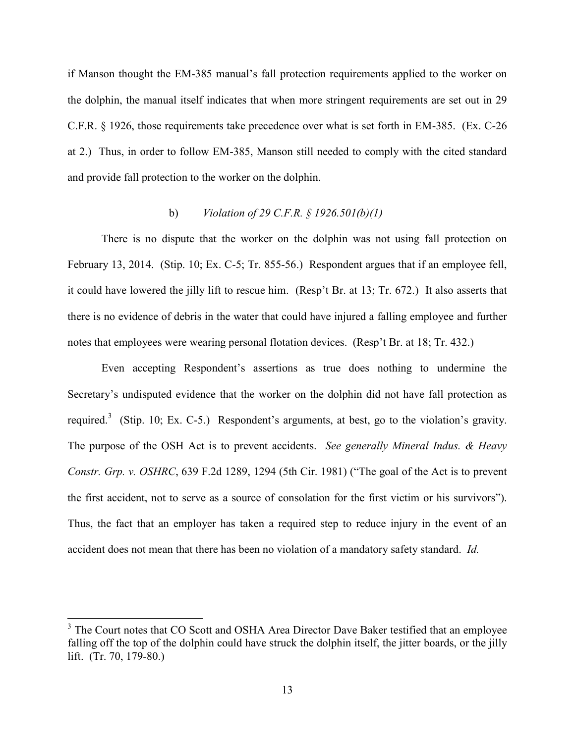if Manson thought the EM-385 manual's fall protection requirements applied to the worker on the dolphin, the manual itself indicates that when more stringent requirements are set out in 29 C.F.R. § 1926, those requirements take precedence over what is set forth in EM-385. (Ex. C-26 at 2.) Thus, in order to follow EM-385, Manson still needed to comply with the cited standard and provide fall protection to the worker on the dolphin.

# b) *Violation of 29 C.F.R. § 1926.501(b)(1)*

There is no dispute that the worker on the dolphin was not using fall protection on February 13, 2014. (Stip. 10; Ex. C-5; Tr. 855-56.) Respondent argues that if an employee fell, it could have lowered the jilly lift to rescue him. (Resp't Br. at 13; Tr. 672.) It also asserts that there is no evidence of debris in the water that could have injured a falling employee and further notes that employees were wearing personal flotation devices. (Resp't Br. at 18; Tr. 432.)

Even accepting Respondent's assertions as true does nothing to undermine the Secretary's undisputed evidence that the worker on the dolphin did not have fall protection as required.<sup>3</sup> (Stip. 10; Ex. C-5.) Respondent's arguments, at best, go to the violation's gravity. The purpose of the OSH Act is to prevent accidents. *See generally Mineral Indus. & Heavy Constr. Grp. v. OSHRC*, 639 F.2d 1289, 1294 (5th Cir. 1981) ("The goal of the Act is to prevent the first accident, not to serve as a source of consolation for the first victim or his survivors"). Thus, the fact that an employer has taken a required step to reduce injury in the event of an accident does not mean that there has been no violation of a mandatory safety standard. *Id.* 

<sup>&</sup>lt;sup>3</sup> The Court notes that CO Scott and OSHA Area Director Dave Baker testified that an employee falling off the top of the dolphin could have struck the dolphin itself, the jitter boards, or the jilly lift. (Tr. 70, 179-80.)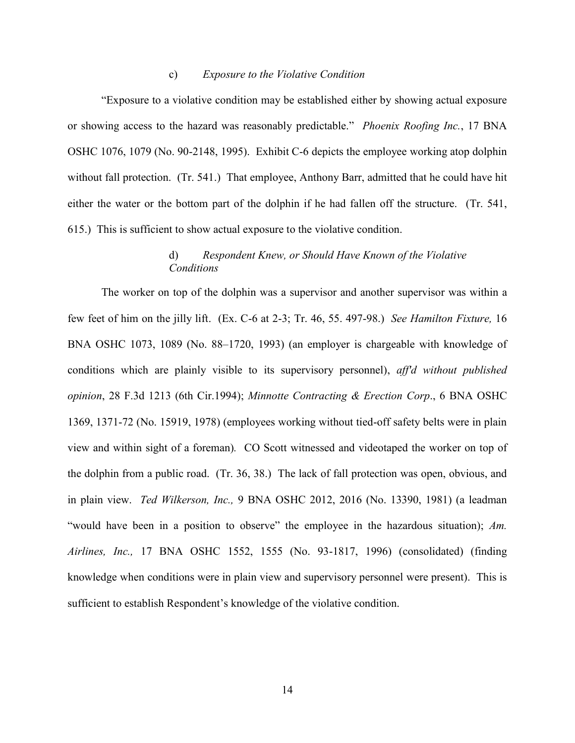#### c) *Exposure to the Violative Condition*

"Exposure to a violative condition may be established either by showing actual exposure or showing access to the hazard was reasonably predictable." *Phoenix Roofing Inc.*, 17 BNA OSHC 1076, 1079 (No. 90-2148, 1995). Exhibit C-6 depicts the employee working atop dolphin without fall protection. (Tr. 541.) That employee, Anthony Barr, admitted that he could have hit either the water or the bottom part of the dolphin if he had fallen off the structure. (Tr. 541, 615.) This is sufficient to show actual exposure to the violative condition.

# d) *Respondent Knew, or Should Have Known of the Violative Conditions*

The worker on top of the dolphin was a supervisor and another supervisor was within a few feet of him on the jilly lift. (Ex. C-6 at 2-3; Tr. 46, 55. 497-98.) *See Hamilton Fixture,* 16 BNA OSHC 1073, 1089 (No. 88–1720, 1993) (an employer is chargeable with knowledge of conditions which are plainly visible to its supervisory personnel), *aff'd without published opinion*, 28 F.3d 1213 (6th Cir.1994); *Minnotte Contracting & Erection Corp*., 6 BNA OSHC 1369, 1371-72 (No. 15919, 1978) (employees working without tied-off safety belts were in plain view and within sight of a foreman)*.* CO Scott witnessed and videotaped the worker on top of the dolphin from a public road. (Tr. 36, 38.) The lack of fall protection was open, obvious, and in plain view. *Ted Wilkerson, Inc.,* 9 BNA OSHC 2012, 2016 (No. 13390, 1981) (a leadman "would have been in a position to observe" the employee in the hazardous situation); *Am. Airlines, Inc.,* 17 BNA OSHC 1552, 1555 (No. 93-1817, 1996) (consolidated) (finding knowledge when conditions were in plain view and supervisory personnel were present). This is sufficient to establish Respondent's knowledge of the violative condition.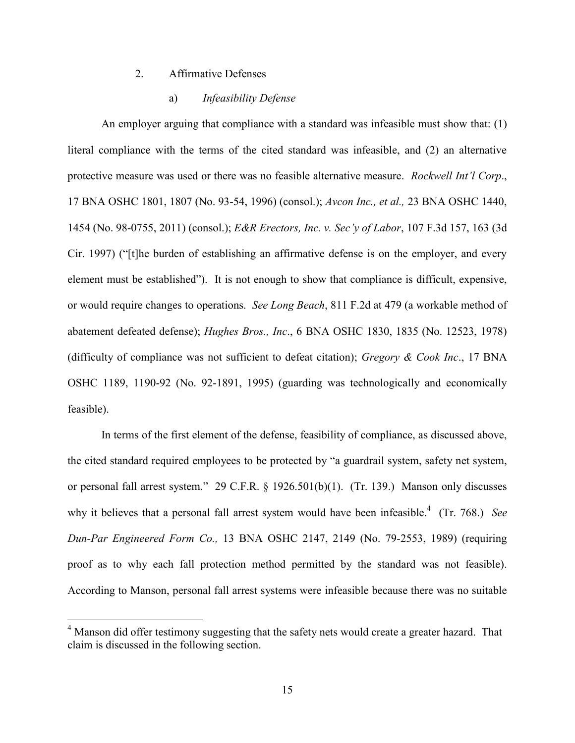### 2. Affirmative Defenses

#### a) *Infeasibility Defense*

An employer arguing that compliance with a standard was infeasible must show that: (1) literal compliance with the terms of the cited standard was infeasible, and (2) an alternative protective measure was used or there was no feasible alternative measure. *Rockwell Int'l Corp*., 17 BNA OSHC 1801, 1807 (No. 93-54, 1996) (consol.); *Avcon Inc., et al.,* 23 BNA OSHC 1440, 1454 (No. 98-0755, 2011) (consol.); *E&R Erectors, Inc. v. Sec'y of Labor*, 107 F.3d 157, 163 (3d Cir. 1997) ("[t]he burden of establishing an affirmative defense is on the employer, and every element must be established"). It is not enough to show that compliance is difficult, expensive, or would require changes to operations. *See Long Beach*, 811 F.2d at 479 (a workable method of abatement defeated defense); *Hughes Bros., Inc*., 6 BNA OSHC 1830, 1835 (No. 12523, 1978) (difficulty of compliance was not sufficient to defeat citation); *Gregory & Cook Inc*., 17 BNA OSHC 1189, 1190-92 (No. 92-1891, 1995) (guarding was technologically and economically feasible).

In terms of the first element of the defense, feasibility of compliance, as discussed above, the cited standard required employees to be protected by "a guardrail system, safety net system, or personal fall arrest system." 29 C.F.R. § 1926.501(b)(1). (Tr. 139.) Manson only discusses why it believes that a personal fall arrest system would have been infeasible.<sup>4</sup> (Tr. 768.) *See Dun-Par Engineered Form Co.,* 13 BNA OSHC 2147, 2149 (No. 79-2553, 1989) (requiring proof as to why each fall protection method permitted by the standard was not feasible). According to Manson, personal fall arrest systems were infeasible because there was no suitable

 $4$  Manson did offer testimony suggesting that the safety nets would create a greater hazard. That claim is discussed in the following section.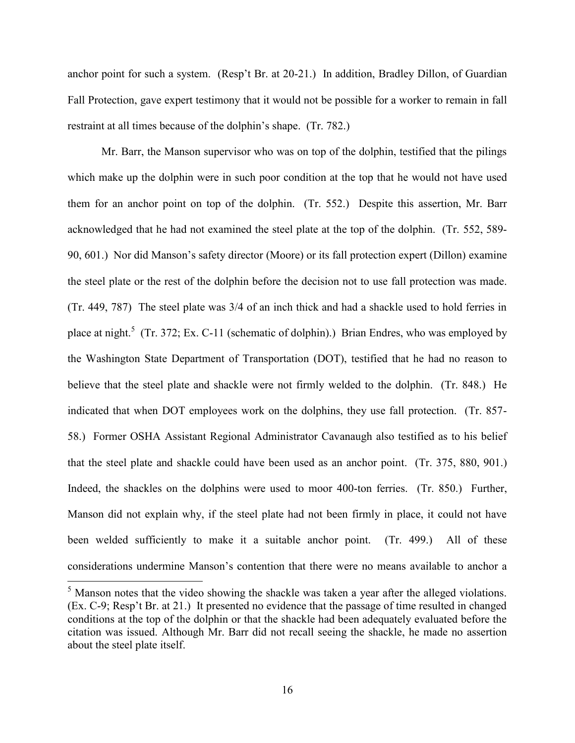anchor point for such a system. (Resp't Br. at 20-21.) In addition, Bradley Dillon, of Guardian Fall Protection, gave expert testimony that it would not be possible for a worker to remain in fall restraint at all times because of the dolphin's shape. (Tr. 782.)

Mr. Barr, the Manson supervisor who was on top of the dolphin, testified that the pilings which make up the dolphin were in such poor condition at the top that he would not have used them for an anchor point on top of the dolphin. (Tr. 552.) Despite this assertion, Mr. Barr acknowledged that he had not examined the steel plate at the top of the dolphin. (Tr. 552, 589- 90, 601.) Nor did Manson's safety director (Moore) or its fall protection expert (Dillon) examine the steel plate or the rest of the dolphin before the decision not to use fall protection was made. (Tr. 449, 787) The steel plate was 3/4 of an inch thick and had a shackle used to hold ferries in place at night.<sup>5</sup> (Tr. 372; Ex. C-11 (schematic of dolphin).) Brian Endres, who was employed by the Washington State Department of Transportation (DOT), testified that he had no reason to believe that the steel plate and shackle were not firmly welded to the dolphin. (Tr. 848.) He indicated that when DOT employees work on the dolphins, they use fall protection. (Tr. 857- 58.) Former OSHA Assistant Regional Administrator Cavanaugh also testified as to his belief that the steel plate and shackle could have been used as an anchor point. (Tr. 375, 880, 901.) Indeed, the shackles on the dolphins were used to moor 400-ton ferries. (Tr. 850.) Further, Manson did not explain why, if the steel plate had not been firmly in place, it could not have been welded sufficiently to make it a suitable anchor point. (Tr. 499.) All of these considerations undermine Manson's contention that there were no means available to anchor a

<sup>&</sup>lt;sup>5</sup> Manson notes that the video showing the shackle was taken a year after the alleged violations. (Ex. C-9; Resp't Br. at 21.) It presented no evidence that the passage of time resulted in changed conditions at the top of the dolphin or that the shackle had been adequately evaluated before the citation was issued. Although Mr. Barr did not recall seeing the shackle, he made no assertion about the steel plate itself.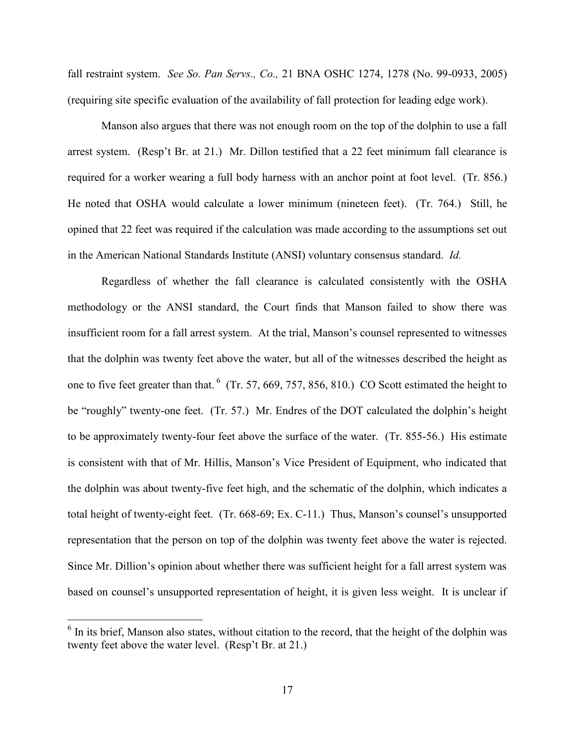fall restraint system. *See So. Pan Servs., Co.,* 21 BNA OSHC 1274, 1278 (No. 99-0933, 2005) (requiring site specific evaluation of the availability of fall protection for leading edge work).

Manson also argues that there was not enough room on the top of the dolphin to use a fall arrest system. (Resp't Br. at 21.) Mr. Dillon testified that a 22 feet minimum fall clearance is required for a worker wearing a full body harness with an anchor point at foot level. (Tr. 856.) He noted that OSHA would calculate a lower minimum (nineteen feet). (Tr. 764.) Still, he opined that 22 feet was required if the calculation was made according to the assumptions set out in the American National Standards Institute (ANSI) voluntary consensus standard. *Id.*

Regardless of whether the fall clearance is calculated consistently with the OSHA methodology or the ANSI standard, the Court finds that Manson failed to show there was insufficient room for a fall arrest system. At the trial, Manson's counsel represented to witnesses that the dolphin was twenty feet above the water, but all of the witnesses described the height as one to five feet greater than that.  $6\,$  (Tr. 57, 669, 757, 856, 810.) CO Scott estimated the height to be "roughly" twenty-one feet. (Tr. 57.) Mr. Endres of the DOT calculated the dolphin's height to be approximately twenty-four feet above the surface of the water. (Tr. 855-56.) His estimate is consistent with that of Mr. Hillis, Manson's Vice President of Equipment, who indicated that the dolphin was about twenty-five feet high, and the schematic of the dolphin, which indicates a total height of twenty-eight feet. (Tr. 668-69; Ex. C-11.) Thus, Manson's counsel's unsupported representation that the person on top of the dolphin was twenty feet above the water is rejected. Since Mr. Dillion's opinion about whether there was sufficient height for a fall arrest system was based on counsel's unsupported representation of height, it is given less weight. It is unclear if

<sup>&</sup>lt;sup>6</sup> In its brief, Manson also states, without citation to the record, that the height of the dolphin was twenty feet above the water level. (Resp't Br. at 21.)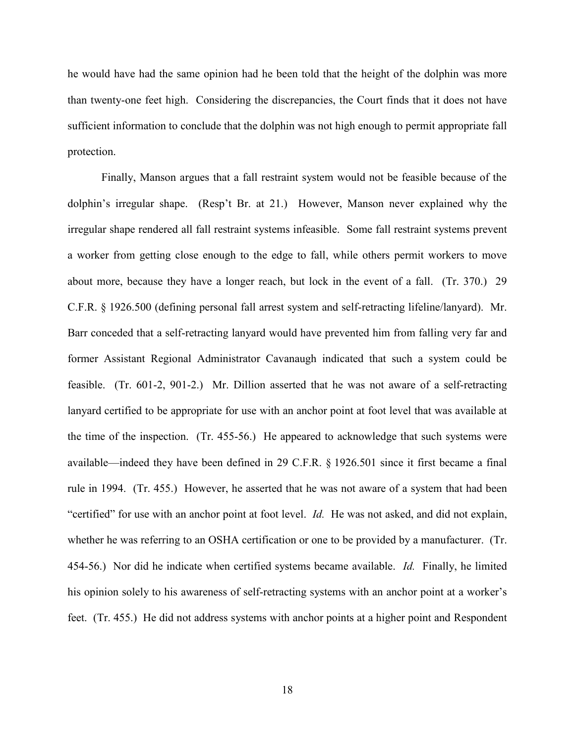he would have had the same opinion had he been told that the height of the dolphin was more than twenty-one feet high. Considering the discrepancies, the Court finds that it does not have sufficient information to conclude that the dolphin was not high enough to permit appropriate fall protection.

Finally, Manson argues that a fall restraint system would not be feasible because of the dolphin's irregular shape. (Resp't Br. at 21.) However, Manson never explained why the irregular shape rendered all fall restraint systems infeasible. Some fall restraint systems prevent a worker from getting close enough to the edge to fall, while others permit workers to move about more, because they have a longer reach, but lock in the event of a fall. (Tr. 370.) 29 C.F.R. § 1926.500 (defining personal fall arrest system and self-retracting lifeline/lanyard). Mr. Barr conceded that a self-retracting lanyard would have prevented him from falling very far and former Assistant Regional Administrator Cavanaugh indicated that such a system could be feasible. (Tr. 601-2, 901-2.) Mr. Dillion asserted that he was not aware of a self-retracting lanyard certified to be appropriate for use with an anchor point at foot level that was available at the time of the inspection. (Tr. 455-56.) He appeared to acknowledge that such systems were available—indeed they have been defined in 29 C.F.R. § 1926.501 since it first became a final rule in 1994. (Tr. 455.) However, he asserted that he was not aware of a system that had been "certified" for use with an anchor point at foot level. *Id.* He was not asked, and did not explain, whether he was referring to an OSHA certification or one to be provided by a manufacturer. (Tr. 454-56.) Nor did he indicate when certified systems became available. *Id.* Finally, he limited his opinion solely to his awareness of self-retracting systems with an anchor point at a worker's feet. (Tr. 455.) He did not address systems with anchor points at a higher point and Respondent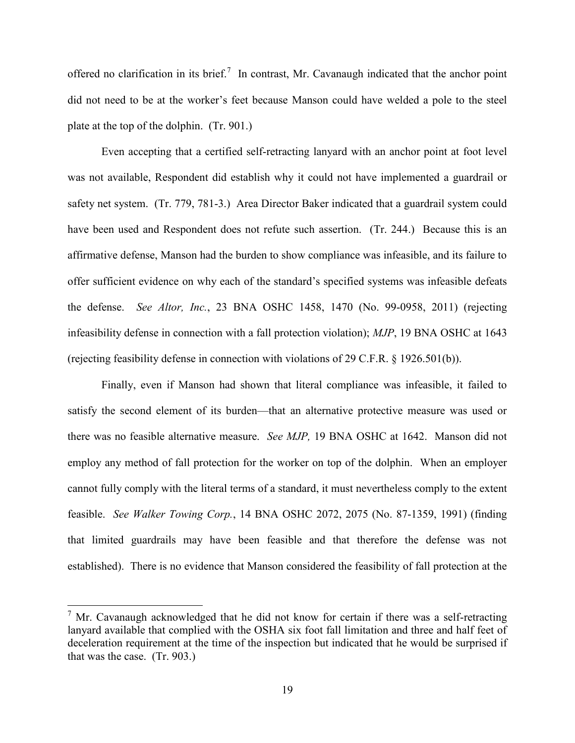offered no clarification in its brief.<sup>7</sup> In contrast, Mr. Cavanaugh indicated that the anchor point did not need to be at the worker's feet because Manson could have welded a pole to the steel plate at the top of the dolphin. (Tr. 901.)

Even accepting that a certified self-retracting lanyard with an anchor point at foot level was not available, Respondent did establish why it could not have implemented a guardrail or safety net system. (Tr. 779, 781-3.) Area Director Baker indicated that a guardrail system could have been used and Respondent does not refute such assertion. (Tr. 244.) Because this is an affirmative defense, Manson had the burden to show compliance was infeasible, and its failure to offer sufficient evidence on why each of the standard's specified systems was infeasible defeats the defense. *See Altor, Inc.*, 23 BNA OSHC 1458, 1470 (No. 99-0958, 2011) (rejecting infeasibility defense in connection with a fall protection violation); *MJP*, 19 BNA OSHC at 1643 (rejecting feasibility defense in connection with violations of 29 C.F.R. § 1926.501(b)).

Finally, even if Manson had shown that literal compliance was infeasible, it failed to satisfy the second element of its burden—that an alternative protective measure was used or there was no feasible alternative measure. *See MJP,* 19 BNA OSHC at 1642. Manson did not employ any method of fall protection for the worker on top of the dolphin. When an employer cannot fully comply with the literal terms of a standard, it must nevertheless comply to the extent feasible. *See Walker Towing Corp.*, 14 BNA OSHC 2072, 2075 (No. 87-1359, 1991) (finding that limited guardrails may have been feasible and that therefore the defense was not established). There is no evidence that Manson considered the feasibility of fall protection at the

<sup>&</sup>lt;sup>7</sup> Mr. Cavanaugh acknowledged that he did not know for certain if there was a self-retracting lanyard available that complied with the OSHA six foot fall limitation and three and half feet of deceleration requirement at the time of the inspection but indicated that he would be surprised if that was the case. (Tr. 903.)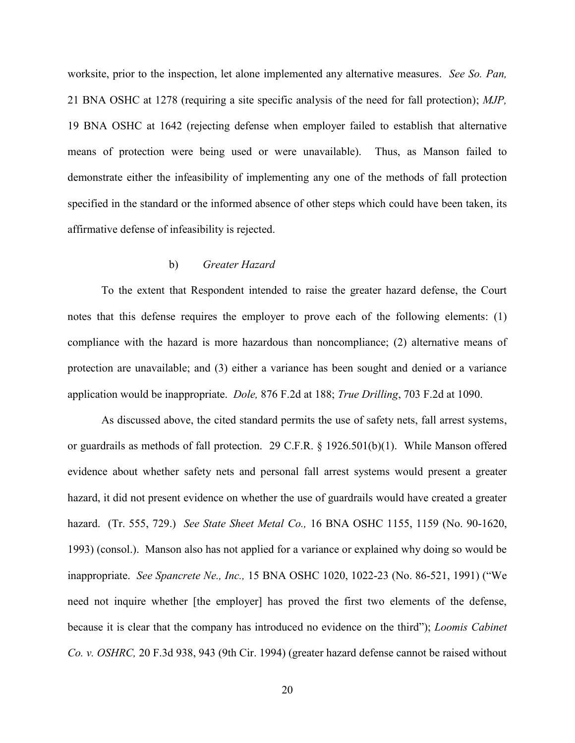worksite, prior to the inspection, let alone implemented any alternative measures. *See So. Pan,* 21 BNA OSHC at 1278 (requiring a site specific analysis of the need for fall protection); *MJP,* 19 BNA OSHC at 1642 (rejecting defense when employer failed to establish that alternative means of protection were being used or were unavailable). Thus, as Manson failed to demonstrate either the infeasibility of implementing any one of the methods of fall protection specified in the standard or the informed absence of other steps which could have been taken, its affirmative defense of infeasibility is rejected.

# b) *Greater Hazard*

To the extent that Respondent intended to raise the greater hazard defense, the Court notes that this defense requires the employer to prove each of the following elements: (1) compliance with the hazard is more hazardous than noncompliance; (2) alternative means of protection are unavailable; and (3) either a variance has been sought and denied or a variance application would be inappropriate. *Dole,* 876 F.2d at 188; *True Drilling*, 703 F.2d at 1090.

As discussed above, the cited standard permits the use of safety nets, fall arrest systems, or guardrails as methods of fall protection. 29 C.F.R. § 1926.501(b)(1). While Manson offered evidence about whether safety nets and personal fall arrest systems would present a greater hazard, it did not present evidence on whether the use of guardrails would have created a greater hazard. (Tr. 555, 729.) *See State Sheet Metal Co.,* 16 BNA OSHC 1155, 1159 (No. 90-1620, 1993) (consol.). Manson also has not applied for a variance or explained why doing so would be inappropriate. *See Spancrete Ne., Inc.,* 15 BNA OSHC 1020, 1022-23 (No. 86-521, 1991) ("We need not inquire whether [the employer] has proved the first two elements of the defense, because it is clear that the company has introduced no evidence on the third"); *Loomis Cabinet Co. v. OSHRC,* 20 F.3d 938, 943 (9th Cir. 1994) (greater hazard defense cannot be raised without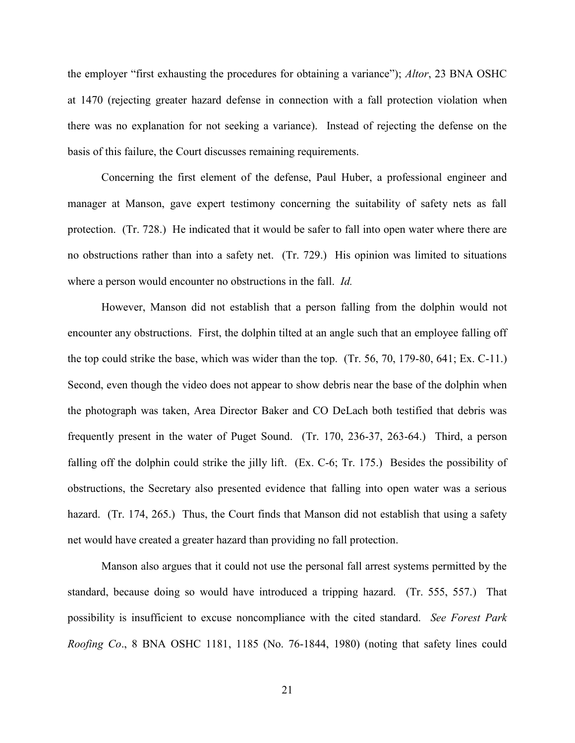the employer "first exhausting the procedures for obtaining a variance"); *Altor*, 23 BNA OSHC at 1470 (rejecting greater hazard defense in connection with a fall protection violation when there was no explanation for not seeking a variance). Instead of rejecting the defense on the basis of this failure, the Court discusses remaining requirements.

Concerning the first element of the defense, Paul Huber, a professional engineer and manager at Manson, gave expert testimony concerning the suitability of safety nets as fall protection. (Tr. 728.) He indicated that it would be safer to fall into open water where there are no obstructions rather than into a safety net. (Tr. 729.) His opinion was limited to situations where a person would encounter no obstructions in the fall. *Id.*

However, Manson did not establish that a person falling from the dolphin would not encounter any obstructions. First, the dolphin tilted at an angle such that an employee falling off the top could strike the base, which was wider than the top. (Tr. 56, 70, 179-80, 641; Ex. C-11.) Second, even though the video does not appear to show debris near the base of the dolphin when the photograph was taken, Area Director Baker and CO DeLach both testified that debris was frequently present in the water of Puget Sound. (Tr. 170, 236-37, 263-64.) Third, a person falling off the dolphin could strike the jilly lift. (Ex. C-6; Tr. 175.) Besides the possibility of obstructions, the Secretary also presented evidence that falling into open water was a serious hazard. (Tr. 174, 265.) Thus, the Court finds that Manson did not establish that using a safety net would have created a greater hazard than providing no fall protection.

Manson also argues that it could not use the personal fall arrest systems permitted by the standard, because doing so would have introduced a tripping hazard. (Tr. 555, 557.) That possibility is insufficient to excuse noncompliance with the cited standard. *See Forest Park Roofing Co*., 8 BNA OSHC 1181, 1185 (No. 76-1844, 1980) (noting that safety lines could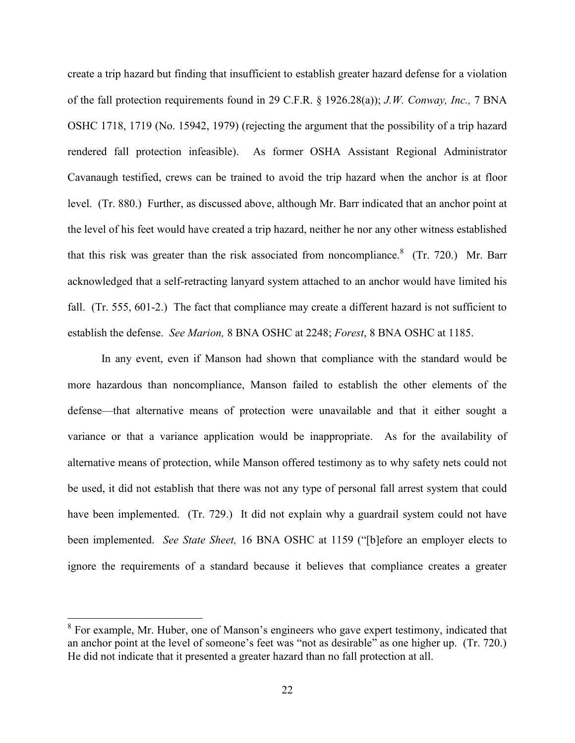create a trip hazard but finding that insufficient to establish greater hazard defense for a violation of the fall protection requirements found in 29 C.F.R. § 1926.28(a)); *J.W. Conway, Inc.,* 7 BNA OSHC 1718, 1719 (No. 15942, 1979) (rejecting the argument that the possibility of a trip hazard rendered fall protection infeasible). As former OSHA Assistant Regional Administrator Cavanaugh testified, crews can be trained to avoid the trip hazard when the anchor is at floor level. (Tr. 880.) Further, as discussed above, although Mr. Barr indicated that an anchor point at the level of his feet would have created a trip hazard, neither he nor any other witness established that this risk was greater than the risk associated from noncompliance.  $(Tr. 720.)$  Mr. Barr acknowledged that a self-retracting lanyard system attached to an anchor would have limited his fall. (Tr. 555, 601-2.) The fact that compliance may create a different hazard is not sufficient to establish the defense. *See Marion,* 8 BNA OSHC at 2248; *Forest*, 8 BNA OSHC at 1185.

In any event, even if Manson had shown that compliance with the standard would be more hazardous than noncompliance, Manson failed to establish the other elements of the defense—that alternative means of protection were unavailable and that it either sought a variance or that a variance application would be inappropriate. As for the availability of alternative means of protection, while Manson offered testimony as to why safety nets could not be used, it did not establish that there was not any type of personal fall arrest system that could have been implemented. (Tr. 729.) It did not explain why a guardrail system could not have been implemented. *See State Sheet,* 16 BNA OSHC at 1159 ("[b]efore an employer elects to ignore the requirements of a standard because it believes that compliance creates a greater

 $8$  For example, Mr. Huber, one of Manson's engineers who gave expert testimony, indicated that an anchor point at the level of someone's feet was "not as desirable" as one higher up. (Tr. 720.) He did not indicate that it presented a greater hazard than no fall protection at all.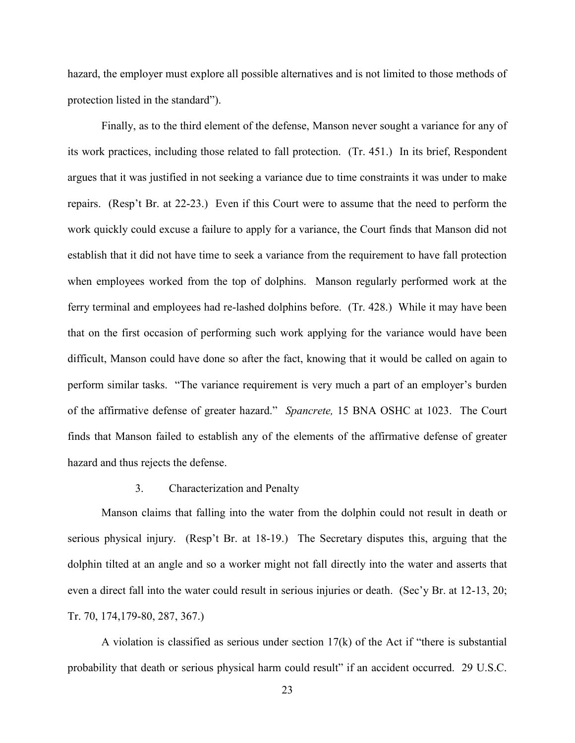hazard, the employer must explore all possible alternatives and is not limited to those methods of protection listed in the standard").

Finally, as to the third element of the defense, Manson never sought a variance for any of its work practices, including those related to fall protection. (Tr. 451.) In its brief, Respondent argues that it was justified in not seeking a variance due to time constraints it was under to make repairs. (Resp't Br. at 22-23.) Even if this Court were to assume that the need to perform the work quickly could excuse a failure to apply for a variance, the Court finds that Manson did not establish that it did not have time to seek a variance from the requirement to have fall protection when employees worked from the top of dolphins. Manson regularly performed work at the ferry terminal and employees had re-lashed dolphins before. (Tr. 428.) While it may have been that on the first occasion of performing such work applying for the variance would have been difficult, Manson could have done so after the fact, knowing that it would be called on again to perform similar tasks. "The variance requirement is very much a part of an employer's burden of the affirmative defense of greater hazard." *Spancrete,* 15 BNA OSHC at 1023. The Court finds that Manson failed to establish any of the elements of the affirmative defense of greater hazard and thus rejects the defense.

## 3. Characterization and Penalty

Manson claims that falling into the water from the dolphin could not result in death or serious physical injury. (Resp't Br. at 18-19.) The Secretary disputes this, arguing that the dolphin tilted at an angle and so a worker might not fall directly into the water and asserts that even a direct fall into the water could result in serious injuries or death. (Sec'y Br. at 12-13, 20; Tr. 70, 174,179-80, 287, 367.)

A violation is classified as serious under section 17(k) of the Act if "there is substantial probability that death or serious physical harm could result" if an accident occurred. 29 U.S.C.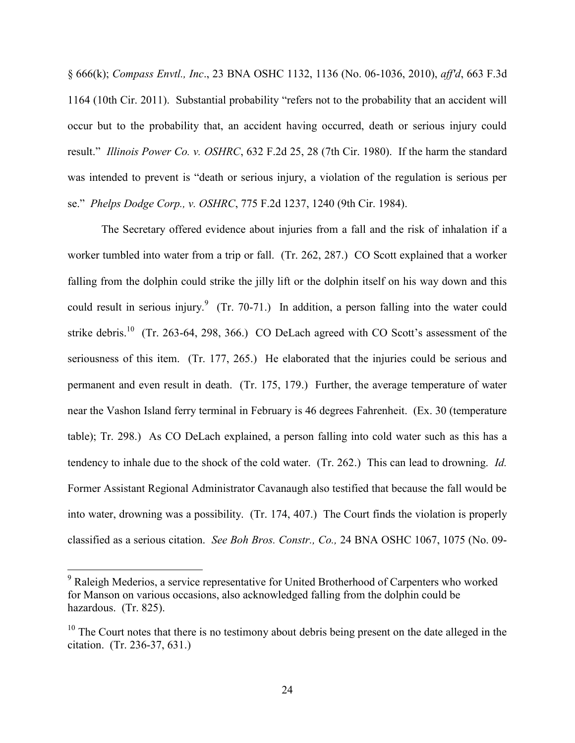§ 666(k); *Compass Envtl., Inc*., 23 BNA OSHC 1132, 1136 (No. 06-1036, 2010), *aff'd*, 663 F.3d 1164 (10th Cir. 2011). Substantial probability "refers not to the probability that an accident will occur but to the probability that, an accident having occurred, death or serious injury could result." *Illinois Power Co. v. OSHRC*, 632 F.2d 25, 28 (7th Cir. 1980). If the harm the standard was intended to prevent is "death or serious injury, a violation of the regulation is serious per se." *Phelps Dodge Corp., v. OSHRC*, 775 F.2d 1237, 1240 (9th Cir. 1984).

The Secretary offered evidence about injuries from a fall and the risk of inhalation if a worker tumbled into water from a trip or fall. (Tr. 262, 287.) CO Scott explained that a worker falling from the dolphin could strike the jilly lift or the dolphin itself on his way down and this could result in serious injury. $9$  (Tr. 70-71.) In addition, a person falling into the water could strike debris.<sup>10</sup> (Tr. 263-64, 298, 366.) CO DeLach agreed with CO Scott's assessment of the seriousness of this item. (Tr. 177, 265.) He elaborated that the injuries could be serious and permanent and even result in death. (Tr. 175, 179.) Further, the average temperature of water near the Vashon Island ferry terminal in February is 46 degrees Fahrenheit. (Ex. 30 (temperature table); Tr. 298.) As CO DeLach explained, a person falling into cold water such as this has a tendency to inhale due to the shock of the cold water. (Tr. 262.) This can lead to drowning. *Id.* Former Assistant Regional Administrator Cavanaugh also testified that because the fall would be into water, drowning was a possibility. (Tr. 174, 407.) The Court finds the violation is properly classified as a serious citation. *See Boh Bros. Constr., Co.,* 24 BNA OSHC 1067, 1075 (No. 09-

 $9$  Raleigh Mederios, a service representative for United Brotherhood of Carpenters who worked for Manson on various occasions, also acknowledged falling from the dolphin could be hazardous. (Tr. 825).

 $10$  The Court notes that there is no testimony about debris being present on the date alleged in the citation. (Tr. 236-37, 631.)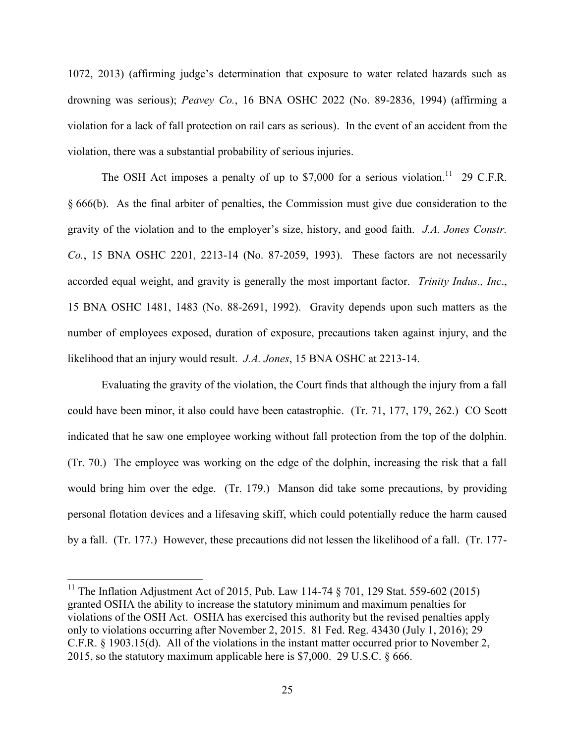1072, 2013) (affirming judge's determination that exposure to water related hazards such as drowning was serious); *Peavey Co.*, 16 BNA OSHC 2022 (No. 89-2836, 1994) (affirming a violation for a lack of fall protection on rail cars as serious). In the event of an accident from the violation, there was a substantial probability of serious injuries.

The OSH Act imposes a penalty of up to \$7,000 for a serious violation.<sup>11</sup> 29 C.F.R. § 666(b). As the final arbiter of penalties, the Commission must give due consideration to the gravity of the violation and to the employer's size, history, and good faith. *J.A. Jones Constr. Co.*, 15 BNA OSHC 2201, 2213-14 (No. 87-2059, 1993). These factors are not necessarily accorded equal weight, and gravity is generally the most important factor. *Trinity Indus., Inc*., 15 BNA OSHC 1481, 1483 (No. 88-2691, 1992). Gravity depends upon such matters as the number of employees exposed, duration of exposure, precautions taken against injury, and the likelihood that an injury would result. *J.A. Jones*, 15 BNA OSHC at 2213-14.

Evaluating the gravity of the violation, the Court finds that although the injury from a fall could have been minor, it also could have been catastrophic. (Tr. 71, 177, 179, 262.) CO Scott indicated that he saw one employee working without fall protection from the top of the dolphin. (Tr. 70.) The employee was working on the edge of the dolphin, increasing the risk that a fall would bring him over the edge. (Tr. 179.) Manson did take some precautions, by providing personal flotation devices and a lifesaving skiff, which could potentially reduce the harm caused by a fall. (Tr. 177.) However, these precautions did not lessen the likelihood of a fall. (Tr. 177-

<sup>&</sup>lt;sup>11</sup> The Inflation Adjustment Act of 2015, Pub. Law 114-74  $\S$  701, 129 Stat. 559-602 (2015) granted OSHA the ability to increase the statutory minimum and maximum penalties for violations of the OSH Act. OSHA has exercised this authority but the revised penalties apply only to violations occurring after November 2, 2015. 81 Fed. Reg. 43430 (July 1, 2016); 29 C.F.R. § 1903.15(d). All of the violations in the instant matter occurred prior to November 2, 2015, so the statutory maximum applicable here is \$7,000. 29 U.S.C. § 666.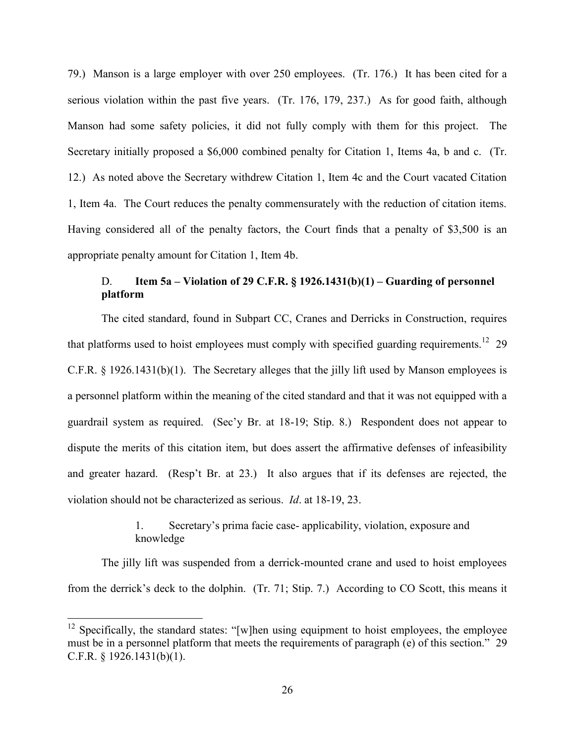79.) Manson is a large employer with over 250 employees. (Tr. 176.) It has been cited for a serious violation within the past five years. (Tr. 176, 179, 237.) As for good faith, although Manson had some safety policies, it did not fully comply with them for this project. The Secretary initially proposed a \$6,000 combined penalty for Citation 1, Items 4a, b and c. (Tr. 12.) As noted above the Secretary withdrew Citation 1, Item 4c and the Court vacated Citation 1, Item 4a. The Court reduces the penalty commensurately with the reduction of citation items. Having considered all of the penalty factors, the Court finds that a penalty of \$3,500 is an appropriate penalty amount for Citation 1, Item 4b.

# D. **Item 5a – Violation of 29 C.F.R. § 1926.1431(b)(1) – Guarding of personnel platform**

The cited standard, found in Subpart CC, Cranes and Derricks in Construction, requires that platforms used to hoist employees must comply with specified guarding requirements.<sup>12</sup> 29 C.F.R. § 1926.1431(b)(1). The Secretary alleges that the jilly lift used by Manson employees is a personnel platform within the meaning of the cited standard and that it was not equipped with a guardrail system as required. (Sec'y Br. at 18-19; Stip. 8.) Respondent does not appear to dispute the merits of this citation item, but does assert the affirmative defenses of infeasibility and greater hazard. (Resp't Br. at 23.) It also argues that if its defenses are rejected, the violation should not be characterized as serious. *Id*. at 18-19, 23.

> 1. Secretary's prima facie case- applicability, violation, exposure and knowledge

The jilly lift was suspended from a derrick-mounted crane and used to hoist employees from the derrick's deck to the dolphin. (Tr. 71; Stip. 7.) According to CO Scott, this means it

 $12$  Specifically, the standard states: "[w]hen using equipment to hoist employees, the employee must be in a personnel platform that meets the requirements of paragraph (e) of this section." 29 C.F.R. § 1926.1431(b)(1).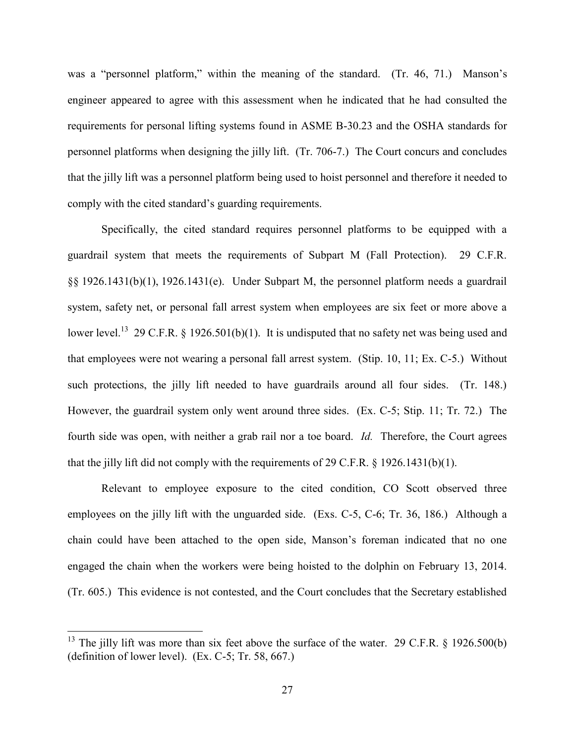was a "personnel platform," within the meaning of the standard. (Tr. 46, 71.) Manson's engineer appeared to agree with this assessment when he indicated that he had consulted the requirements for personal lifting systems found in ASME B-30.23 and the OSHA standards for personnel platforms when designing the jilly lift. (Tr. 706-7.) The Court concurs and concludes that the jilly lift was a personnel platform being used to hoist personnel and therefore it needed to comply with the cited standard's guarding requirements.

Specifically, the cited standard requires personnel platforms to be equipped with a guardrail system that meets the requirements of Subpart M (Fall Protection). 29 C.F.R. §§ 1926.1431(b)(1), 1926.1431(e). Under Subpart M, the personnel platform needs a guardrail system, safety net, or personal fall arrest system when employees are six feet or more above a lower level.<sup>13</sup> 29 C.F.R. § 1926.501(b)(1). It is undisputed that no safety net was being used and that employees were not wearing a personal fall arrest system. (Stip. 10, 11; Ex. C-5.) Without such protections, the jilly lift needed to have guardrails around all four sides. (Tr. 148.) However, the guardrail system only went around three sides. (Ex. C-5; Stip. 11; Tr. 72.) The fourth side was open, with neither a grab rail nor a toe board. *Id.* Therefore, the Court agrees that the jilly lift did not comply with the requirements of 29 C.F.R. § 1926.1431(b)(1).

Relevant to employee exposure to the cited condition, CO Scott observed three employees on the jilly lift with the unguarded side. (Exs. C-5, C-6; Tr. 36, 186.) Although a chain could have been attached to the open side, Manson's foreman indicated that no one engaged the chain when the workers were being hoisted to the dolphin on February 13, 2014. (Tr. 605.) This evidence is not contested, and the Court concludes that the Secretary established

<sup>&</sup>lt;sup>13</sup> The jilly lift was more than six feet above the surface of the water. 29 C.F.R. § 1926.500(b) (definition of lower level). (Ex. C-5; Tr. 58, 667.)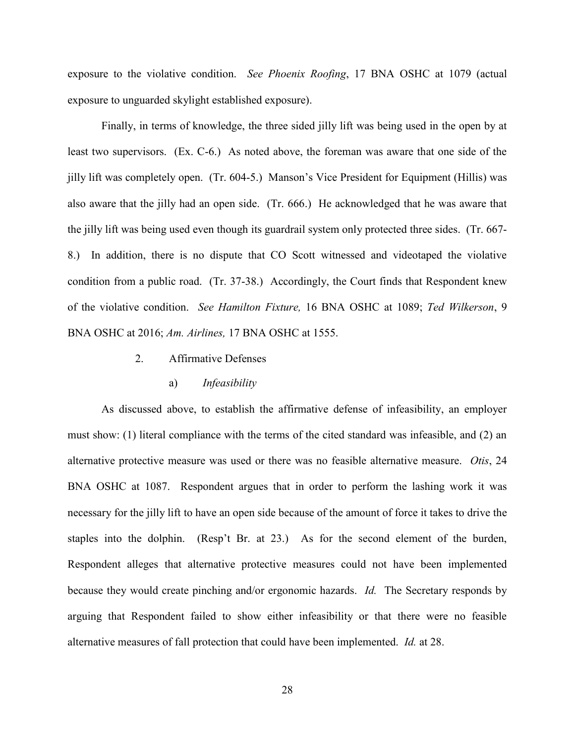exposure to the violative condition. *See Phoenix Roofing*, 17 BNA OSHC at 1079 (actual exposure to unguarded skylight established exposure).

Finally, in terms of knowledge, the three sided jilly lift was being used in the open by at least two supervisors. (Ex. C-6.) As noted above, the foreman was aware that one side of the jilly lift was completely open. (Tr. 604-5.) Manson's Vice President for Equipment (Hillis) was also aware that the jilly had an open side. (Tr. 666.) He acknowledged that he was aware that the jilly lift was being used even though its guardrail system only protected three sides. (Tr. 667- 8.) In addition, there is no dispute that CO Scott witnessed and videotaped the violative condition from a public road. (Tr. 37-38.) Accordingly, the Court finds that Respondent knew of the violative condition. *See Hamilton Fixture,* 16 BNA OSHC at 1089; *Ted Wilkerson*, 9 BNA OSHC at 2016; *Am. Airlines,* 17 BNA OSHC at 1555.

2. Affirmative Defenses

#### a) *Infeasibility*

As discussed above, to establish the affirmative defense of infeasibility, an employer must show: (1) literal compliance with the terms of the cited standard was infeasible, and (2) an alternative protective measure was used or there was no feasible alternative measure. *Otis*, 24 BNA OSHC at 1087. Respondent argues that in order to perform the lashing work it was necessary for the jilly lift to have an open side because of the amount of force it takes to drive the staples into the dolphin. (Resp't Br. at 23.) As for the second element of the burden, Respondent alleges that alternative protective measures could not have been implemented because they would create pinching and/or ergonomic hazards. *Id.* The Secretary responds by arguing that Respondent failed to show either infeasibility or that there were no feasible alternative measures of fall protection that could have been implemented. *Id.* at 28.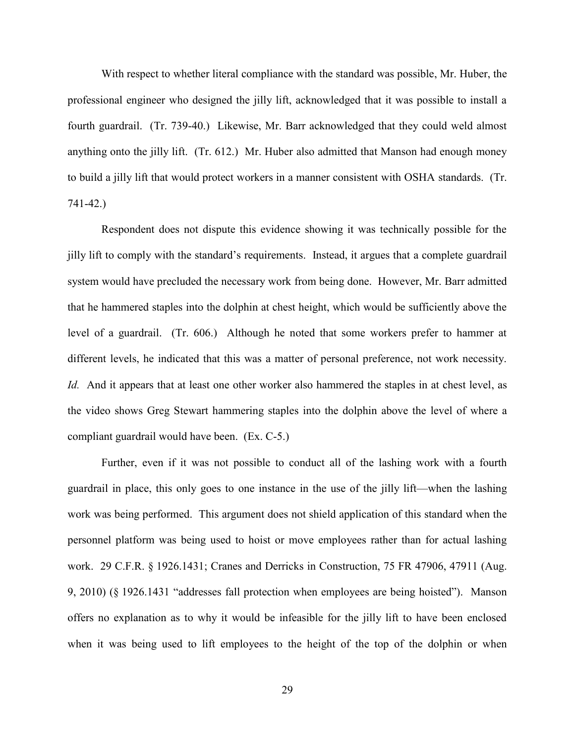With respect to whether literal compliance with the standard was possible, Mr. Huber, the professional engineer who designed the jilly lift, acknowledged that it was possible to install a fourth guardrail. (Tr. 739-40.) Likewise, Mr. Barr acknowledged that they could weld almost anything onto the jilly lift. (Tr. 612.) Mr. Huber also admitted that Manson had enough money to build a jilly lift that would protect workers in a manner consistent with OSHA standards. (Tr. 741-42.)

Respondent does not dispute this evidence showing it was technically possible for the jilly lift to comply with the standard's requirements. Instead, it argues that a complete guardrail system would have precluded the necessary work from being done. However, Mr. Barr admitted that he hammered staples into the dolphin at chest height, which would be sufficiently above the level of a guardrail. (Tr. 606.) Although he noted that some workers prefer to hammer at different levels, he indicated that this was a matter of personal preference, not work necessity. *Id.* And it appears that at least one other worker also hammered the staples in at chest level, as the video shows Greg Stewart hammering staples into the dolphin above the level of where a compliant guardrail would have been. (Ex. C-5.)

Further, even if it was not possible to conduct all of the lashing work with a fourth guardrail in place, this only goes to one instance in the use of the jilly lift—when the lashing work was being performed. This argument does not shield application of this standard when the personnel platform was being used to hoist or move employees rather than for actual lashing work. 29 C.F.R. § 1926.1431; Cranes and Derricks in Construction, 75 FR 47906, 47911 (Aug. 9, 2010) (§ 1926.1431 "addresses fall protection when employees are being hoisted"). Manson offers no explanation as to why it would be infeasible for the jilly lift to have been enclosed when it was being used to lift employees to the height of the top of the dolphin or when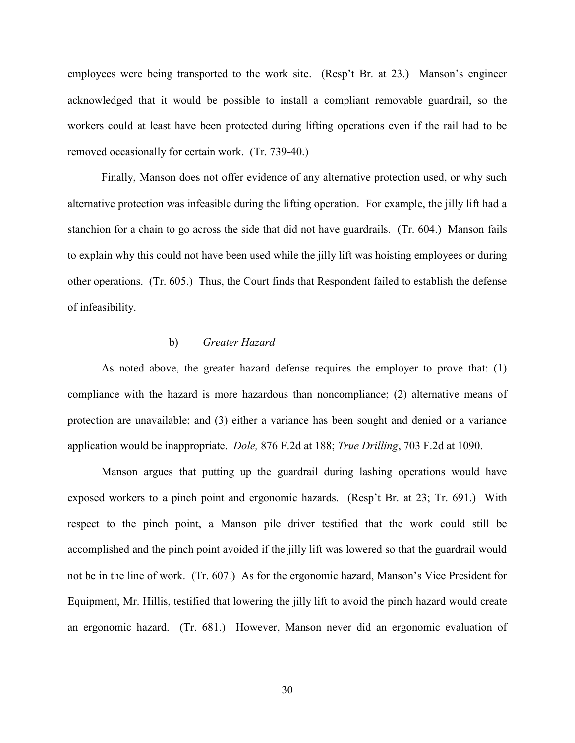employees were being transported to the work site. (Resp't Br. at 23.) Manson's engineer acknowledged that it would be possible to install a compliant removable guardrail, so the workers could at least have been protected during lifting operations even if the rail had to be removed occasionally for certain work. (Tr. 739-40.)

Finally, Manson does not offer evidence of any alternative protection used, or why such alternative protection was infeasible during the lifting operation. For example, the jilly lift had a stanchion for a chain to go across the side that did not have guardrails. (Tr. 604.) Manson fails to explain why this could not have been used while the jilly lift was hoisting employees or during other operations. (Tr. 605.) Thus, the Court finds that Respondent failed to establish the defense of infeasibility.

# b) *Greater Hazard*

As noted above, the greater hazard defense requires the employer to prove that: (1) compliance with the hazard is more hazardous than noncompliance; (2) alternative means of protection are unavailable; and (3) either a variance has been sought and denied or a variance application would be inappropriate. *Dole,* 876 F.2d at 188; *True Drilling*, 703 F.2d at 1090.

 Manson argues that putting up the guardrail during lashing operations would have exposed workers to a pinch point and ergonomic hazards. (Resp't Br. at 23; Tr. 691.) With respect to the pinch point, a Manson pile driver testified that the work could still be accomplished and the pinch point avoided if the jilly lift was lowered so that the guardrail would not be in the line of work. (Tr. 607.) As for the ergonomic hazard, Manson's Vice President for Equipment, Mr. Hillis, testified that lowering the jilly lift to avoid the pinch hazard would create an ergonomic hazard. (Tr. 681.) However, Manson never did an ergonomic evaluation of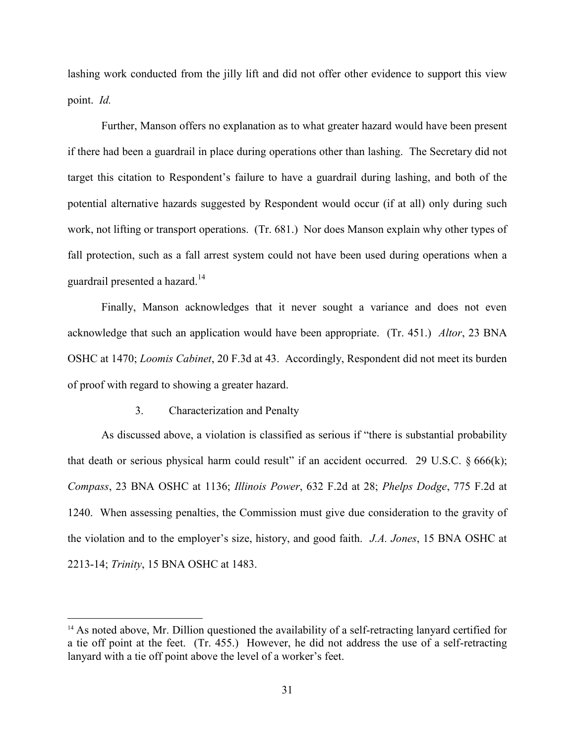lashing work conducted from the jilly lift and did not offer other evidence to support this view point. *Id.*

Further, Manson offers no explanation as to what greater hazard would have been present if there had been a guardrail in place during operations other than lashing. The Secretary did not target this citation to Respondent's failure to have a guardrail during lashing, and both of the potential alternative hazards suggested by Respondent would occur (if at all) only during such work, not lifting or transport operations. (Tr. 681.) Nor does Manson explain why other types of fall protection, such as a fall arrest system could not have been used during operations when a guardrail presented a hazard.<sup>14</sup>

Finally, Manson acknowledges that it never sought a variance and does not even acknowledge that such an application would have been appropriate. (Tr. 451.) *Altor*, 23 BNA OSHC at 1470; *Loomis Cabinet*, 20 F.3d at 43. Accordingly, Respondent did not meet its burden of proof with regard to showing a greater hazard.

# 3. Characterization and Penalty

 $\overline{a}$ 

As discussed above, a violation is classified as serious if "there is substantial probability that death or serious physical harm could result" if an accident occurred. 29 U.S.C.  $\S 666(k)$ ; *Compass*, 23 BNA OSHC at 1136; *Illinois Power*, 632 F.2d at 28; *Phelps Dodge*, 775 F.2d at 1240. When assessing penalties, the Commission must give due consideration to the gravity of the violation and to the employer's size, history, and good faith. *J.A. Jones*, 15 BNA OSHC at 2213-14; *Trinity*, 15 BNA OSHC at 1483.

<sup>&</sup>lt;sup>14</sup> As noted above, Mr. Dillion questioned the availability of a self-retracting lanyard certified for a tie off point at the feet. (Tr. 455.) However, he did not address the use of a self-retracting lanyard with a tie off point above the level of a worker's feet.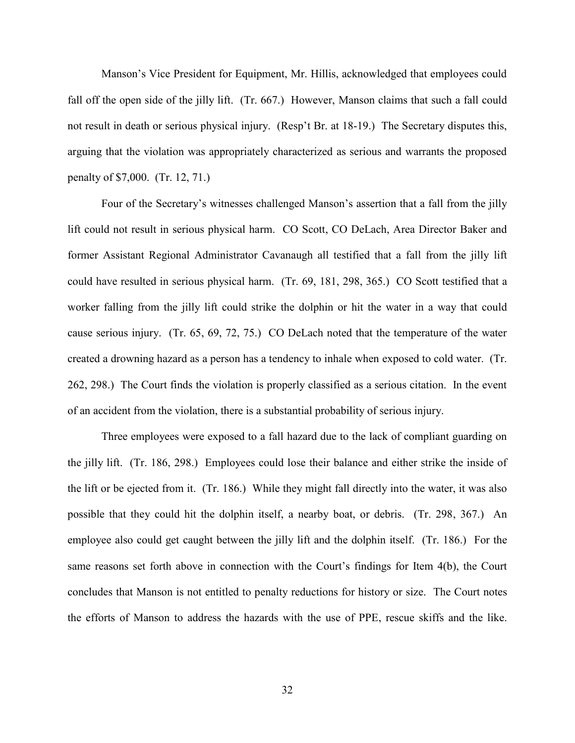Manson's Vice President for Equipment, Mr. Hillis, acknowledged that employees could fall off the open side of the jilly lift. (Tr. 667.) However, Manson claims that such a fall could not result in death or serious physical injury. (Resp't Br. at 18-19.) The Secretary disputes this, arguing that the violation was appropriately characterized as serious and warrants the proposed penalty of \$7,000. (Tr. 12, 71.)

Four of the Secretary's witnesses challenged Manson's assertion that a fall from the jilly lift could not result in serious physical harm. CO Scott, CO DeLach, Area Director Baker and former Assistant Regional Administrator Cavanaugh all testified that a fall from the jilly lift could have resulted in serious physical harm. (Tr. 69, 181, 298, 365.) CO Scott testified that a worker falling from the jilly lift could strike the dolphin or hit the water in a way that could cause serious injury. (Tr. 65, 69, 72, 75.) CO DeLach noted that the temperature of the water created a drowning hazard as a person has a tendency to inhale when exposed to cold water. (Tr. 262, 298.) The Court finds the violation is properly classified as a serious citation. In the event of an accident from the violation, there is a substantial probability of serious injury.

Three employees were exposed to a fall hazard due to the lack of compliant guarding on the jilly lift. (Tr. 186, 298.) Employees could lose their balance and either strike the inside of the lift or be ejected from it. (Tr. 186.) While they might fall directly into the water, it was also possible that they could hit the dolphin itself, a nearby boat, or debris. (Tr. 298, 367.) An employee also could get caught between the jilly lift and the dolphin itself. (Tr. 186.) For the same reasons set forth above in connection with the Court's findings for Item 4(b), the Court concludes that Manson is not entitled to penalty reductions for history or size. The Court notes the efforts of Manson to address the hazards with the use of PPE, rescue skiffs and the like.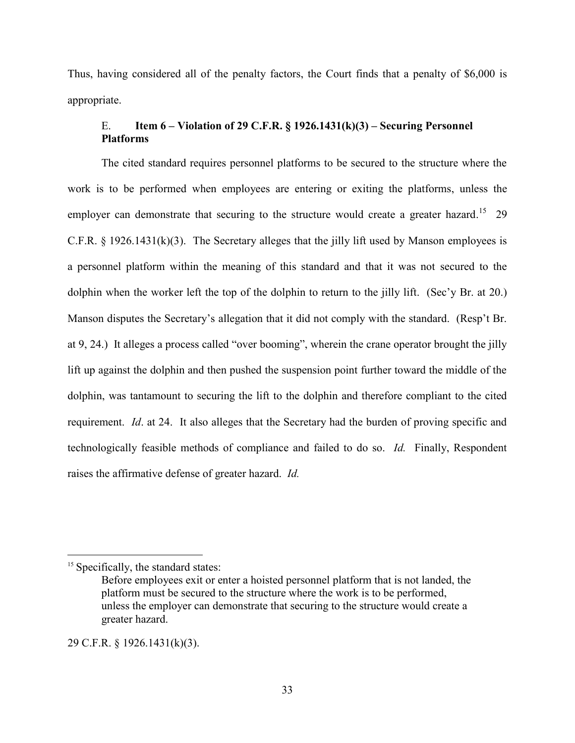Thus, having considered all of the penalty factors, the Court finds that a penalty of \$6,000 is appropriate.

# E. **Item 6 – Violation of 29 C.F.R. § 1926.1431(k)(3) – Securing Personnel Platforms**

The cited standard requires personnel platforms to be secured to the structure where the work is to be performed when employees are entering or exiting the platforms, unless the employer can demonstrate that securing to the structure would create a greater hazard.<sup>15</sup> 29 C.F.R. § 1926.1431(k)(3). The Secretary alleges that the jilly lift used by Manson employees is a personnel platform within the meaning of this standard and that it was not secured to the dolphin when the worker left the top of the dolphin to return to the jilly lift. (Sec'y Br. at 20.) Manson disputes the Secretary's allegation that it did not comply with the standard. (Resp't Br. at 9, 24.) It alleges a process called "over booming", wherein the crane operator brought the jilly lift up against the dolphin and then pushed the suspension point further toward the middle of the dolphin, was tantamount to securing the lift to the dolphin and therefore compliant to the cited requirement. *Id*. at 24. It also alleges that the Secretary had the burden of proving specific and technologically feasible methods of compliance and failed to do so. *Id.* Finally, Respondent raises the affirmative defense of greater hazard. *Id.* 

 $\overline{a}$ 

29 C.F.R. § 1926.1431(k)(3).

<sup>&</sup>lt;sup>15</sup> Specifically, the standard states:

Before employees exit or enter a hoisted personnel platform that is not landed, the platform must be secured to the structure where the work is to be performed, unless the employer can demonstrate that securing to the structure would create a greater hazard.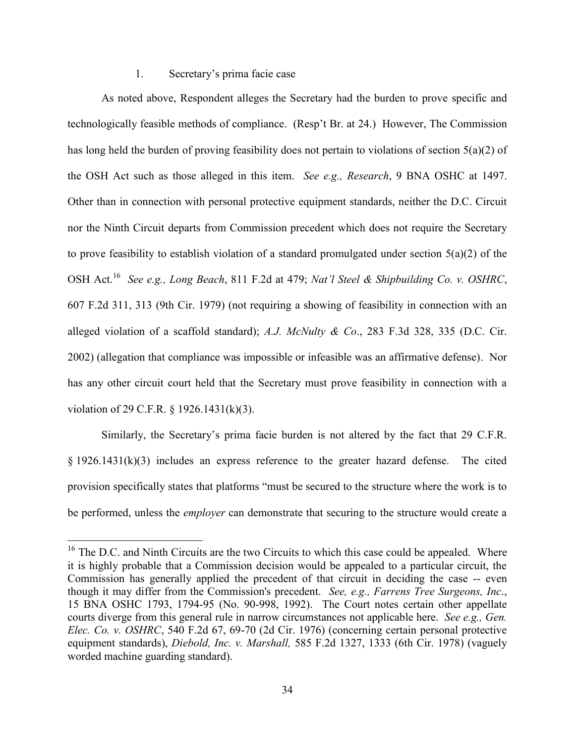## 1. Secretary's prima facie case

As noted above, Respondent alleges the Secretary had the burden to prove specific and technologically feasible methods of compliance. (Resp't Br. at 24.) However, The Commission has long held the burden of proving feasibility does not pertain to violations of section 5(a)(2) of the OSH Act such as those alleged in this item. *See e.g., Research*, 9 BNA OSHC at 1497. Other than in connection with personal protective equipment standards, neither the D.C. Circuit nor the Ninth Circuit departs from Commission precedent which does not require the Secretary to prove feasibility to establish violation of a standard promulgated under section 5(a)(2) of the OSH Act.<sup>16</sup> *See e.g., Long Beach*, 811 F.2d at 479; *Nat'l Steel & Shipbuilding Co. v. OSHRC*, 607 F.2d 311, 313 (9th Cir. 1979) (not requiring a showing of feasibility in connection with an alleged violation of a scaffold standard); *A.J. McNulty & Co*., 283 F.3d 328, 335 (D.C. Cir. 2002) (allegation that compliance was impossible or infeasible was an affirmative defense). Nor has any other circuit court held that the Secretary must prove feasibility in connection with a violation of 29 C.F.R. § 1926.1431(k)(3).

Similarly, the Secretary's prima facie burden is not altered by the fact that 29 C.F.R. § 1926.1431(k)(3) includes an express reference to the greater hazard defense. The cited provision specifically states that platforms "must be secured to the structure where the work is to be performed, unless the *employer* can demonstrate that securing to the structure would create a

 $16$  The D.C. and Ninth Circuits are the two Circuits to which this case could be appealed. Where it is highly probable that a Commission decision would be appealed to a particular circuit, the Commission has generally applied the precedent of that circuit in deciding the case -- even though it may differ from the Commission's precedent. *See, e.g., Farrens Tree Surgeons, Inc*., 15 BNA OSHC 1793, 1794-95 (No. 90-998, 1992). The Court notes certain other appellate courts diverge from this general rule in narrow circumstances not applicable here. *See e.g., Gen. Elec. Co. v. OSHRC*, 540 F.2d 67, 69-70 (2d Cir. 1976) (concerning certain personal protective equipment standards), *Diebold, Inc. v. Marshall,* 585 F.2d 1327, 1333 (6th Cir. 1978) (vaguely worded machine guarding standard).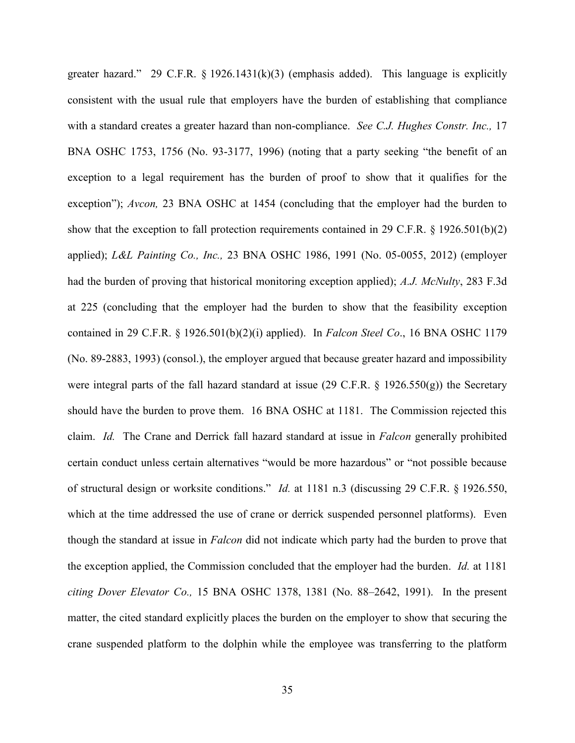greater hazard." 29 C.F.R. § 1926.1431(k)(3) (emphasis added). This language is explicitly consistent with the usual rule that employers have the burden of establishing that compliance with a standard creates a greater hazard than non-compliance. *See C.J. Hughes Constr. Inc.,* 17 BNA OSHC 1753, 1756 (No. 93-3177, 1996) (noting that a party seeking "the benefit of an exception to a legal requirement has the burden of proof to show that it qualifies for the exception"); *Avcon*, 23 BNA OSHC at 1454 (concluding that the employer had the burden to show that the exception to fall protection requirements contained in 29 C.F.R. § 1926.501(b)(2) applied); *L&L Painting Co., Inc.,* 23 BNA OSHC 1986, 1991 (No. 05-0055, 2012) (employer had the burden of proving that historical monitoring exception applied); *A.J. McNulty*, 283 F.3d at 225 (concluding that the employer had the burden to show that the feasibility exception contained in 29 C.F.R. § 1926.501(b)(2)(i) applied). In *Falcon Steel Co*., 16 BNA OSHC 1179 (No. 89-2883, 1993) (consol.), the employer argued that because greater hazard and impossibility were integral parts of the fall hazard standard at issue (29 C.F.R. § 1926.550(g)) the Secretary should have the burden to prove them. 16 BNA OSHC at 1181. The Commission rejected this claim. *Id.* The Crane and Derrick fall hazard standard at issue in *Falcon* generally prohibited certain conduct unless certain alternatives "would be more hazardous" or "not possible because of structural design or worksite conditions." *Id.* at 1181 n.3 (discussing 29 C.F.R. § 1926.550, which at the time addressed the use of crane or derrick suspended personnel platforms). Even though the standard at issue in *Falcon* did not indicate which party had the burden to prove that the exception applied, the Commission concluded that the employer had the burden. *Id.* at 1181 *citing Dover Elevator Co.,* 15 BNA OSHC 1378, 1381 (No. 88–2642, 1991). In the present matter, the cited standard explicitly places the burden on the employer to show that securing the crane suspended platform to the dolphin while the employee was transferring to the platform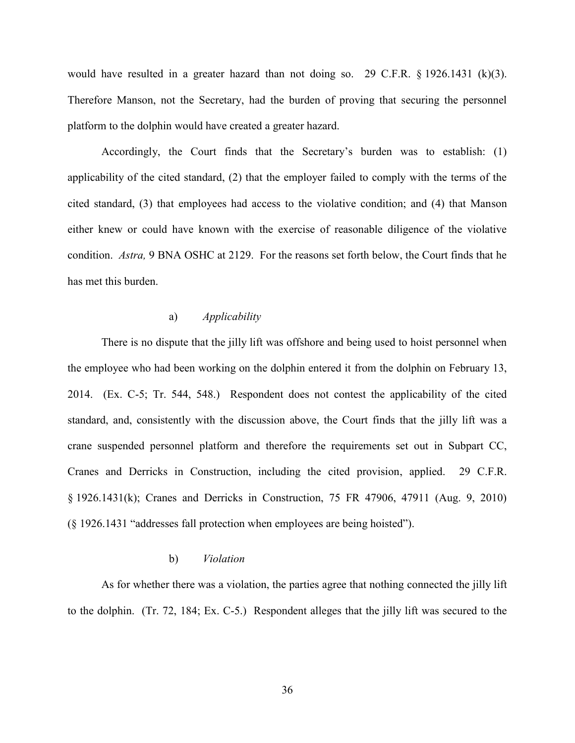would have resulted in a greater hazard than not doing so. 29 C.F.R. § 1926.1431 (k)(3). Therefore Manson, not the Secretary, had the burden of proving that securing the personnel platform to the dolphin would have created a greater hazard.

Accordingly, the Court finds that the Secretary's burden was to establish: (1) applicability of the cited standard, (2) that the employer failed to comply with the terms of the cited standard, (3) that employees had access to the violative condition; and (4) that Manson either knew or could have known with the exercise of reasonable diligence of the violative condition. *Astra,* 9 BNA OSHC at 2129. For the reasons set forth below, the Court finds that he has met this burden.

# a) *Applicability*

There is no dispute that the jilly lift was offshore and being used to hoist personnel when the employee who had been working on the dolphin entered it from the dolphin on February 13, 2014. (Ex. C-5; Tr. 544, 548.) Respondent does not contest the applicability of the cited standard, and, consistently with the discussion above, the Court finds that the jilly lift was a crane suspended personnel platform and therefore the requirements set out in Subpart CC, Cranes and Derricks in Construction, including the cited provision, applied. 29 C.F.R. § 1926.1431(k); Cranes and Derricks in Construction, 75 FR 47906, 47911 (Aug. 9, 2010) (§ 1926.1431 "addresses fall protection when employees are being hoisted").

## b) *Violation*

As for whether there was a violation, the parties agree that nothing connected the jilly lift to the dolphin. (Tr. 72, 184; Ex. C-5.) Respondent alleges that the jilly lift was secured to the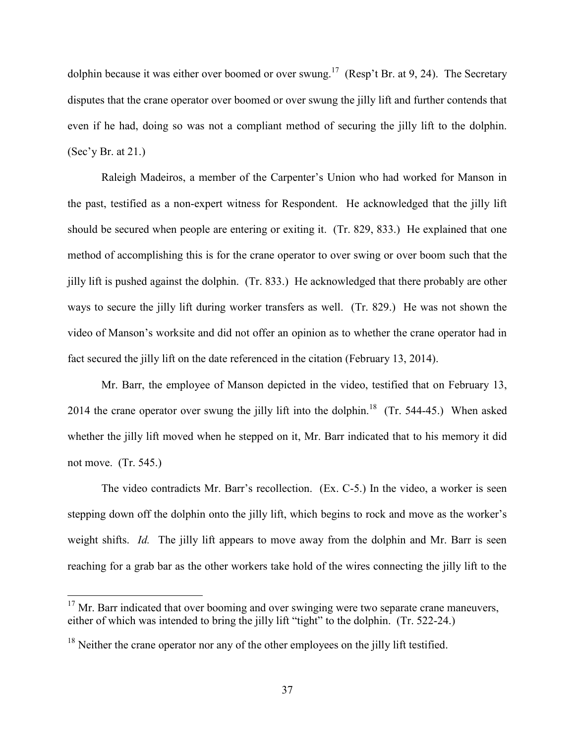dolphin because it was either over boomed or over swung.<sup>17</sup> (Resp't Br. at 9, 24). The Secretary disputes that the crane operator over boomed or over swung the jilly lift and further contends that even if he had, doing so was not a compliant method of securing the jilly lift to the dolphin. (Sec'y Br. at 21.)

Raleigh Madeiros, a member of the Carpenter's Union who had worked for Manson in the past, testified as a non-expert witness for Respondent. He acknowledged that the jilly lift should be secured when people are entering or exiting it. (Tr. 829, 833.) He explained that one method of accomplishing this is for the crane operator to over swing or over boom such that the jilly lift is pushed against the dolphin. (Tr. 833.) He acknowledged that there probably are other ways to secure the jilly lift during worker transfers as well. (Tr. 829.) He was not shown the video of Manson's worksite and did not offer an opinion as to whether the crane operator had in fact secured the jilly lift on the date referenced in the citation (February 13, 2014).

Mr. Barr, the employee of Manson depicted in the video, testified that on February 13, 2014 the crane operator over swung the jilly lift into the dolphin.<sup>18</sup> (Tr. 544-45.) When asked whether the jilly lift moved when he stepped on it, Mr. Barr indicated that to his memory it did not move. (Tr. 545.)

The video contradicts Mr. Barr's recollection. (Ex. C-5.) In the video, a worker is seen stepping down off the dolphin onto the jilly lift, which begins to rock and move as the worker's weight shifts. *Id.* The jilly lift appears to move away from the dolphin and Mr. Barr is seen reaching for a grab bar as the other workers take hold of the wires connecting the jilly lift to the

 $17$  Mr. Barr indicated that over booming and over swinging were two separate crane maneuvers, either of which was intended to bring the jilly lift "tight" to the dolphin. (Tr. 522-24.)

 $18$  Neither the crane operator nor any of the other employees on the jilly lift testified.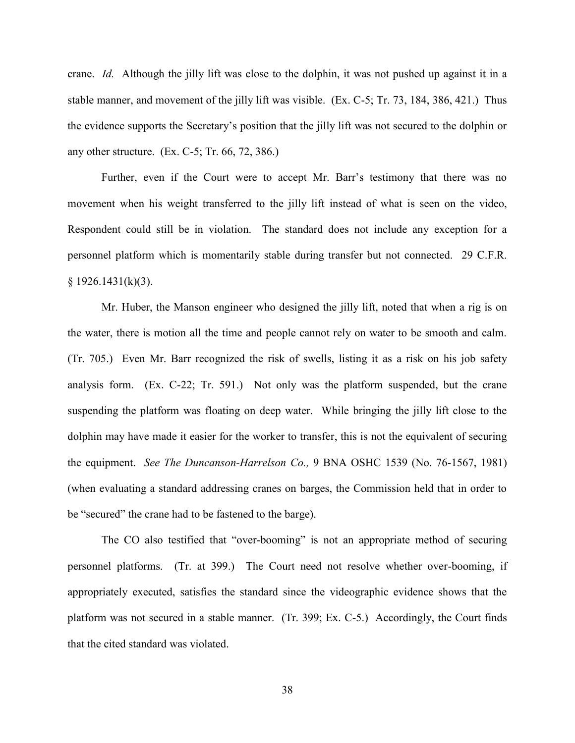crane. *Id.* Although the jilly lift was close to the dolphin, it was not pushed up against it in a stable manner, and movement of the jilly lift was visible. (Ex. C-5; Tr. 73, 184, 386, 421.) Thus the evidence supports the Secretary's position that the jilly lift was not secured to the dolphin or any other structure. (Ex. C-5; Tr. 66, 72, 386.)

Further, even if the Court were to accept Mr. Barr's testimony that there was no movement when his weight transferred to the jilly lift instead of what is seen on the video, Respondent could still be in violation. The standard does not include any exception for a personnel platform which is momentarily stable during transfer but not connected. 29 C.F.R.  $§ 1926.1431(k)(3).$ 

Mr. Huber, the Manson engineer who designed the jilly lift, noted that when a rig is on the water, there is motion all the time and people cannot rely on water to be smooth and calm. (Tr. 705.) Even Mr. Barr recognized the risk of swells, listing it as a risk on his job safety analysis form. (Ex. C-22; Tr. 591.) Not only was the platform suspended, but the crane suspending the platform was floating on deep water. While bringing the jilly lift close to the dolphin may have made it easier for the worker to transfer, this is not the equivalent of securing the equipment. *See The Duncanson-Harrelson Co.,* 9 BNA OSHC 1539 (No. 76-1567, 1981) (when evaluating a standard addressing cranes on barges, the Commission held that in order to be "secured" the crane had to be fastened to the barge).

The CO also testified that "over-booming" is not an appropriate method of securing personnel platforms. (Tr. at 399.) The Court need not resolve whether over-booming, if appropriately executed, satisfies the standard since the videographic evidence shows that the platform was not secured in a stable manner. (Tr. 399; Ex. C-5.) Accordingly, the Court finds that the cited standard was violated.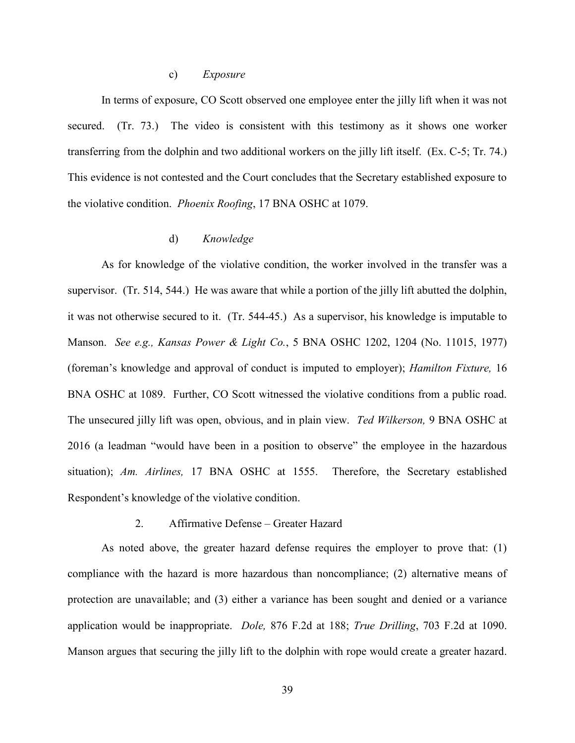#### c) *Exposure*

In terms of exposure, CO Scott observed one employee enter the jilly lift when it was not secured. (Tr. 73.) The video is consistent with this testimony as it shows one worker transferring from the dolphin and two additional workers on the jilly lift itself. (Ex. C-5; Tr. 74.) This evidence is not contested and the Court concludes that the Secretary established exposure to the violative condition. *Phoenix Roofing*, 17 BNA OSHC at 1079.

## d) *Knowledge*

As for knowledge of the violative condition, the worker involved in the transfer was a supervisor. (Tr. 514, 544.) He was aware that while a portion of the jilly lift abutted the dolphin, it was not otherwise secured to it. (Tr. 544-45.) As a supervisor, his knowledge is imputable to Manson. *See e.g., Kansas Power & Light Co.*, 5 BNA OSHC 1202, 1204 (No. 11015, 1977) (foreman's knowledge and approval of conduct is imputed to employer); *Hamilton Fixture,* 16 BNA OSHC at 1089. Further, CO Scott witnessed the violative conditions from a public road. The unsecured jilly lift was open, obvious, and in plain view. *Ted Wilkerson,* 9 BNA OSHC at 2016 (a leadman "would have been in a position to observe" the employee in the hazardous situation); *Am. Airlines,* 17 BNA OSHC at 1555. Therefore, the Secretary established Respondent's knowledge of the violative condition.

#### 2. Affirmative Defense – Greater Hazard

As noted above, the greater hazard defense requires the employer to prove that: (1) compliance with the hazard is more hazardous than noncompliance; (2) alternative means of protection are unavailable; and (3) either a variance has been sought and denied or a variance application would be inappropriate. *Dole,* 876 F.2d at 188; *True Drilling*, 703 F.2d at 1090. Manson argues that securing the jilly lift to the dolphin with rope would create a greater hazard.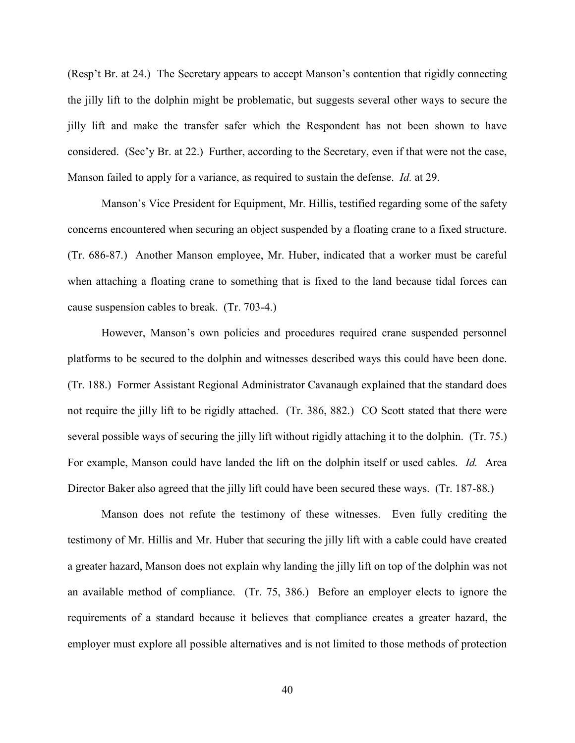(Resp't Br. at 24.) The Secretary appears to accept Manson's contention that rigidly connecting the jilly lift to the dolphin might be problematic, but suggests several other ways to secure the jilly lift and make the transfer safer which the Respondent has not been shown to have considered. (Sec'y Br. at 22.) Further, according to the Secretary, even if that were not the case, Manson failed to apply for a variance, as required to sustain the defense. *Id.* at 29.

Manson's Vice President for Equipment, Mr. Hillis, testified regarding some of the safety concerns encountered when securing an object suspended by a floating crane to a fixed structure. (Tr. 686-87.) Another Manson employee, Mr. Huber, indicated that a worker must be careful when attaching a floating crane to something that is fixed to the land because tidal forces can cause suspension cables to break. (Tr. 703-4.)

However, Manson's own policies and procedures required crane suspended personnel platforms to be secured to the dolphin and witnesses described ways this could have been done. (Tr. 188.) Former Assistant Regional Administrator Cavanaugh explained that the standard does not require the jilly lift to be rigidly attached. (Tr. 386, 882.) CO Scott stated that there were several possible ways of securing the jilly lift without rigidly attaching it to the dolphin. (Tr. 75.) For example, Manson could have landed the lift on the dolphin itself or used cables. *Id.* Area Director Baker also agreed that the jilly lift could have been secured these ways. (Tr. 187-88.)

Manson does not refute the testimony of these witnesses. Even fully crediting the testimony of Mr. Hillis and Mr. Huber that securing the jilly lift with a cable could have created a greater hazard, Manson does not explain why landing the jilly lift on top of the dolphin was not an available method of compliance. (Tr. 75, 386.) Before an employer elects to ignore the requirements of a standard because it believes that compliance creates a greater hazard, the employer must explore all possible alternatives and is not limited to those methods of protection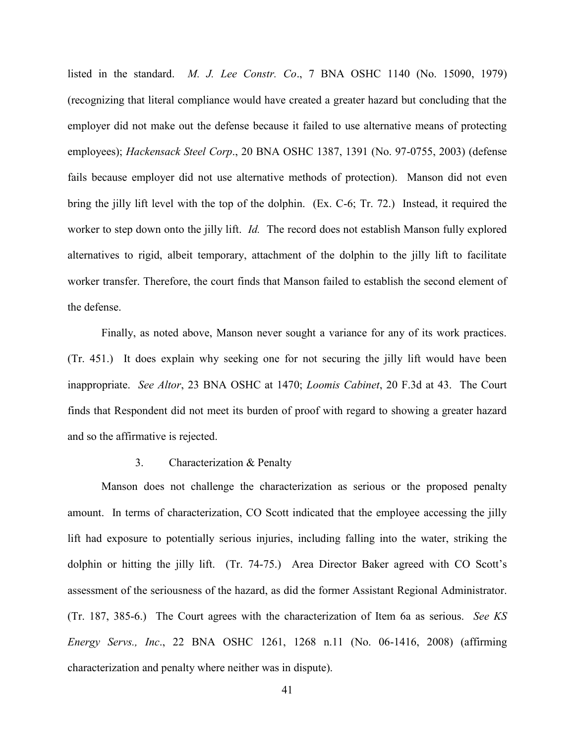listed in the standard. *M. J. Lee Constr. Co*., 7 BNA OSHC 1140 (No. 15090, 1979) (recognizing that literal compliance would have created a greater hazard but concluding that the employer did not make out the defense because it failed to use alternative means of protecting employees); *Hackensack Steel Corp*., 20 BNA OSHC 1387, 1391 (No. 97-0755, 2003) (defense fails because employer did not use alternative methods of protection). Manson did not even bring the jilly lift level with the top of the dolphin. (Ex. C-6; Tr. 72.) Instead, it required the worker to step down onto the jilly lift. *Id.* The record does not establish Manson fully explored alternatives to rigid, albeit temporary, attachment of the dolphin to the jilly lift to facilitate worker transfer. Therefore, the court finds that Manson failed to establish the second element of the defense.

Finally, as noted above, Manson never sought a variance for any of its work practices. (Tr. 451.) It does explain why seeking one for not securing the jilly lift would have been inappropriate. *See Altor*, 23 BNA OSHC at 1470; *Loomis Cabinet*, 20 F.3d at 43. The Court finds that Respondent did not meet its burden of proof with regard to showing a greater hazard and so the affirmative is rejected.

#### 3. Characterization & Penalty

Manson does not challenge the characterization as serious or the proposed penalty amount. In terms of characterization, CO Scott indicated that the employee accessing the jilly lift had exposure to potentially serious injuries, including falling into the water, striking the dolphin or hitting the jilly lift. (Tr. 74-75.) Area Director Baker agreed with CO Scott's assessment of the seriousness of the hazard, as did the former Assistant Regional Administrator. (Tr. 187, 385-6.) The Court agrees with the characterization of Item 6a as serious. *See KS Energy Servs., Inc*., 22 BNA OSHC 1261, 1268 n.11 (No. 06-1416, 2008) (affirming characterization and penalty where neither was in dispute).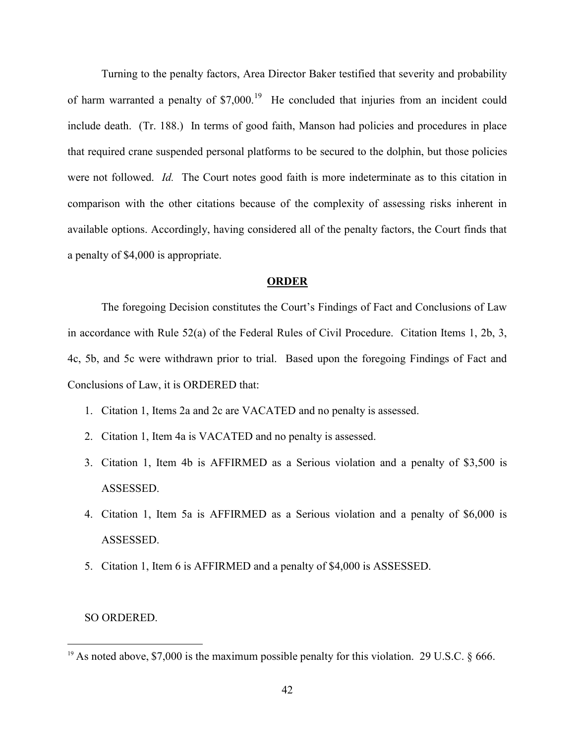Turning to the penalty factors, Area Director Baker testified that severity and probability of harm warranted a penalty of \$7,000.<sup>19</sup> He concluded that injuries from an incident could include death. (Tr. 188.) In terms of good faith, Manson had policies and procedures in place that required crane suspended personal platforms to be secured to the dolphin, but those policies were not followed. *Id.* The Court notes good faith is more indeterminate as to this citation in comparison with the other citations because of the complexity of assessing risks inherent in available options. Accordingly, having considered all of the penalty factors, the Court finds that a penalty of \$4,000 is appropriate.

#### **ORDER**

 The foregoing Decision constitutes the Court's Findings of Fact and Conclusions of Law in accordance with Rule 52(a) of the Federal Rules of Civil Procedure. Citation Items 1, 2b, 3, 4c, 5b, and 5c were withdrawn prior to trial. Based upon the foregoing Findings of Fact and Conclusions of Law, it is ORDERED that:

- 1. Citation 1, Items 2a and 2c are VACATED and no penalty is assessed.
- 2. Citation 1, Item 4a is VACATED and no penalty is assessed.
- 3. Citation 1, Item 4b is AFFIRMED as a Serious violation and a penalty of \$3,500 is ASSESSED.
- 4. Citation 1, Item 5a is AFFIRMED as a Serious violation and a penalty of \$6,000 is ASSESSED.
- 5. Citation 1, Item 6 is AFFIRMED and a penalty of \$4,000 is ASSESSED.

#### SO ORDERED.

<sup>&</sup>lt;sup>19</sup> As noted above, \$7,000 is the maximum possible penalty for this violation. 29 U.S.C.  $\S$  666.